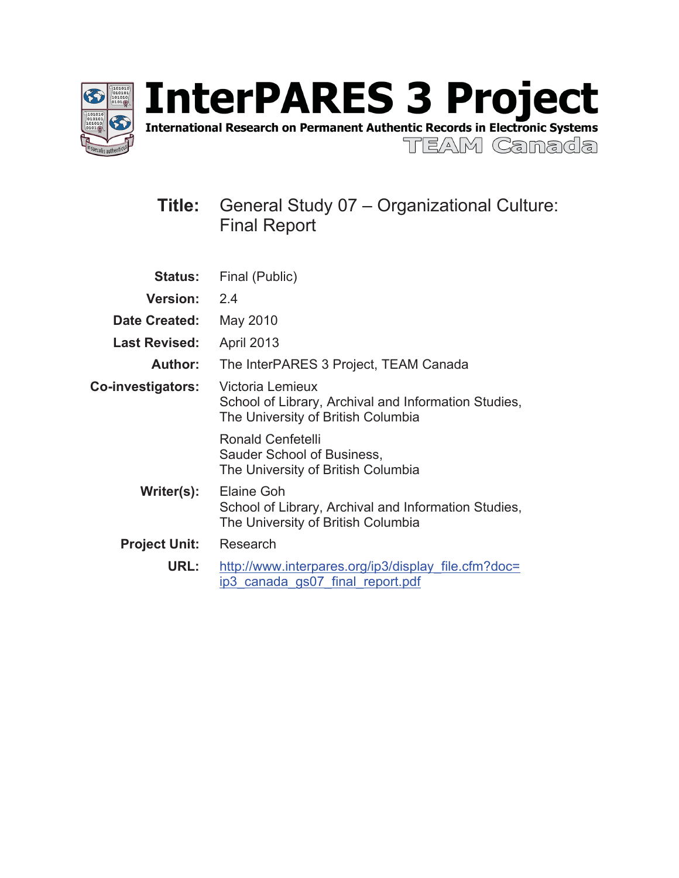

International Research on Permanent Authentic Records in Electronic Systems

TEAM Ganada

# **Title:** General Study 07 – Organizational Culture: Final Report

| <b>Status:</b>       | Final (Public)                                                                                                 |  |  |
|----------------------|----------------------------------------------------------------------------------------------------------------|--|--|
| <b>Version:</b>      | 2.4                                                                                                            |  |  |
| <b>Date Created:</b> | May 2010                                                                                                       |  |  |
| <b>Last Revised:</b> | <b>April 2013</b>                                                                                              |  |  |
| Author:              | The InterPARES 3 Project, TEAM Canada                                                                          |  |  |
| Co-investigators:    | Victoria Lemieux<br>School of Library, Archival and Information Studies,<br>The University of British Columbia |  |  |
|                      | <b>Ronald Cenfetelli</b><br>Sauder School of Business,<br>The University of British Columbia                   |  |  |
| Writer(s):           | Elaine Goh<br>School of Library, Archival and Information Studies,<br>The University of British Columbia       |  |  |
| <b>Project Unit:</b> | Research                                                                                                       |  |  |
| URL:                 | http://www.interpares.org/ip3/display file.cfm?doc=<br>ip3 canada gs07 final report.pdf                        |  |  |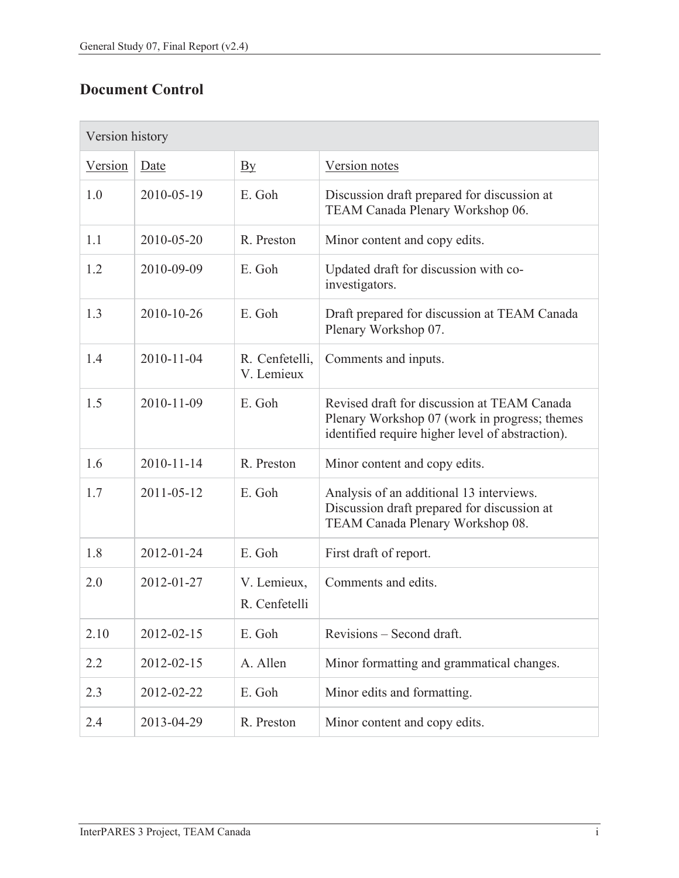# **Document Control**

| Version history |            |                                   |                                                                                                                                                  |  |
|-----------------|------------|-----------------------------------|--------------------------------------------------------------------------------------------------------------------------------------------------|--|
| Version         | Date       | $\overline{\mathbf{B}}\mathbf{y}$ | Version notes                                                                                                                                    |  |
| 1.0             | 2010-05-19 | E. Goh                            | Discussion draft prepared for discussion at<br>TEAM Canada Plenary Workshop 06.                                                                  |  |
| 1.1             | 2010-05-20 | R. Preston                        | Minor content and copy edits.                                                                                                                    |  |
| 1.2             | 2010-09-09 | E. Goh                            | Updated draft for discussion with co-<br>investigators.                                                                                          |  |
| 1.3             | 2010-10-26 | E. Goh                            | Draft prepared for discussion at TEAM Canada<br>Plenary Workshop 07.                                                                             |  |
| 1.4             | 2010-11-04 | R. Cenfetelli,<br>V. Lemieux      | Comments and inputs.                                                                                                                             |  |
| 1.5             | 2010-11-09 | E. Goh                            | Revised draft for discussion at TEAM Canada<br>Plenary Workshop 07 (work in progress; themes<br>identified require higher level of abstraction). |  |
| 1.6             | 2010-11-14 | R. Preston                        | Minor content and copy edits.                                                                                                                    |  |
| 1.7             | 2011-05-12 | E. Goh                            | Analysis of an additional 13 interviews.<br>Discussion draft prepared for discussion at<br>TEAM Canada Plenary Workshop 08.                      |  |
| 1.8             | 2012-01-24 | E. Goh                            | First draft of report.                                                                                                                           |  |
| 2.0             | 2012-01-27 | V. Lemieux,<br>R. Cenfetelli      | Comments and edits.                                                                                                                              |  |
| 2.10            | 2012-02-15 | E. Goh                            | Revisions – Second draft.                                                                                                                        |  |
| 2.2             | 2012-02-15 | A. Allen                          | Minor formatting and grammatical changes.                                                                                                        |  |
| 2.3             | 2012-02-22 | E. Goh                            | Minor edits and formatting.                                                                                                                      |  |
| 2.4             | 2013-04-29 | R. Preston                        | Minor content and copy edits.                                                                                                                    |  |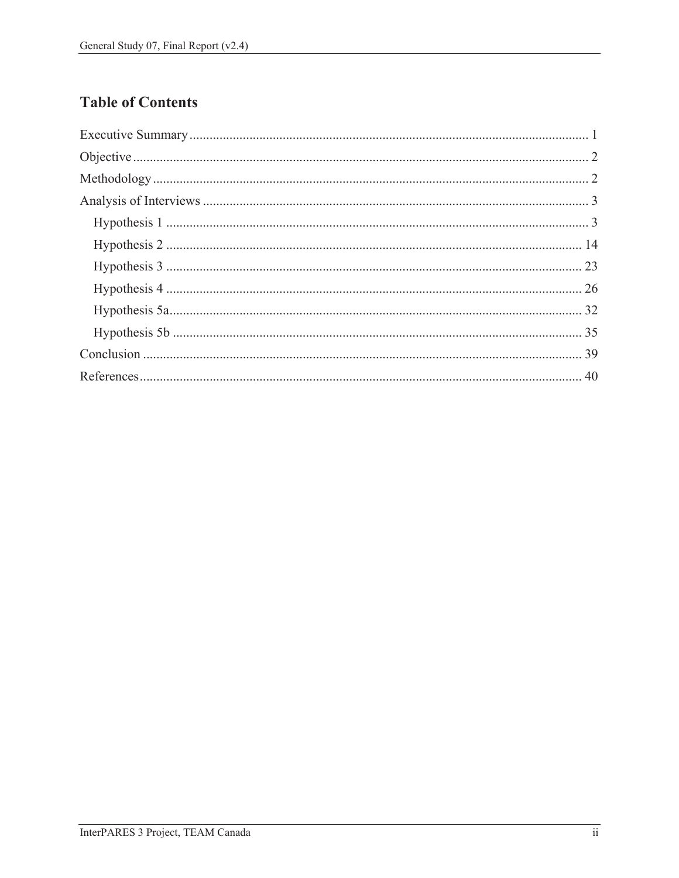# **Table of Contents**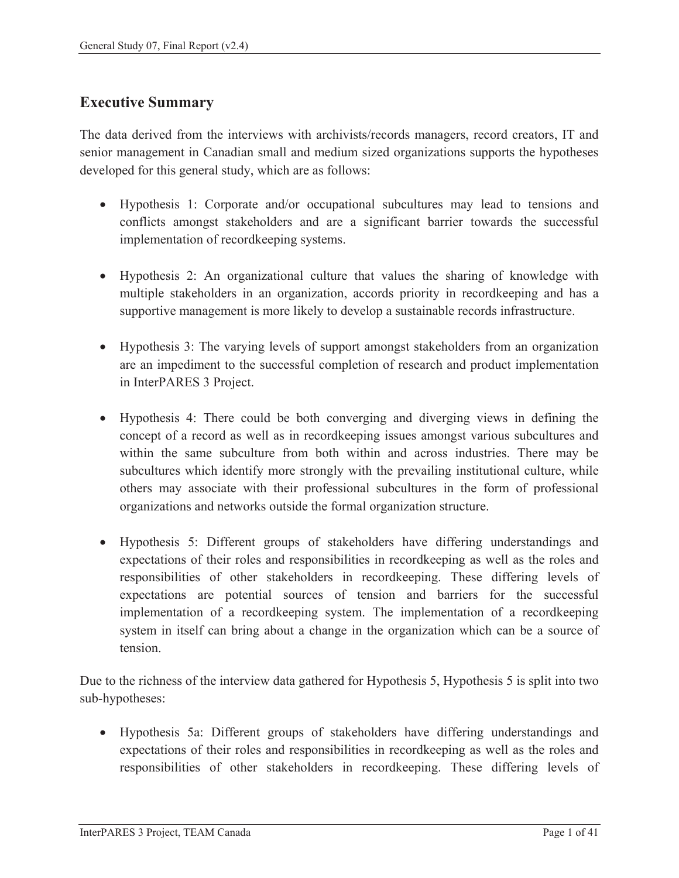## **Executive Summary**

The data derived from the interviews with archivists/records managers, record creators, IT and senior management in Canadian small and medium sized organizations supports the hypotheses developed for this general study, which are as follows:

- Hypothesis 1: Corporate and/or occupational subcultures may lead to tensions and conflicts amongst stakeholders and are a significant barrier towards the successful implementation of recordkeeping systems.
- Hypothesis 2: An organizational culture that values the sharing of knowledge with multiple stakeholders in an organization, accords priority in recordkeeping and has a supportive management is more likely to develop a sustainable records infrastructure.
- Hypothesis 3: The varying levels of support amongst stakeholders from an organization are an impediment to the successful completion of research and product implementation in InterPARES 3 Project.
- Hypothesis 4: There could be both converging and diverging views in defining the concept of a record as well as in recordkeeping issues amongst various subcultures and within the same subculture from both within and across industries. There may be subcultures which identify more strongly with the prevailing institutional culture, while others may associate with their professional subcultures in the form of professional organizations and networks outside the formal organization structure.
- Hypothesis 5: Different groups of stakeholders have differing understandings and expectations of their roles and responsibilities in recordkeeping as well as the roles and responsibilities of other stakeholders in recordkeeping. These differing levels of expectations are potential sources of tension and barriers for the successful implementation of a recordkeeping system. The implementation of a recordkeeping system in itself can bring about a change in the organization which can be a source of tension.

Due to the richness of the interview data gathered for Hypothesis 5, Hypothesis 5 is split into two sub-hypotheses:

• Hypothesis 5a: Different groups of stakeholders have differing understandings and expectations of their roles and responsibilities in recordkeeping as well as the roles and responsibilities of other stakeholders in recordkeeping. These differing levels of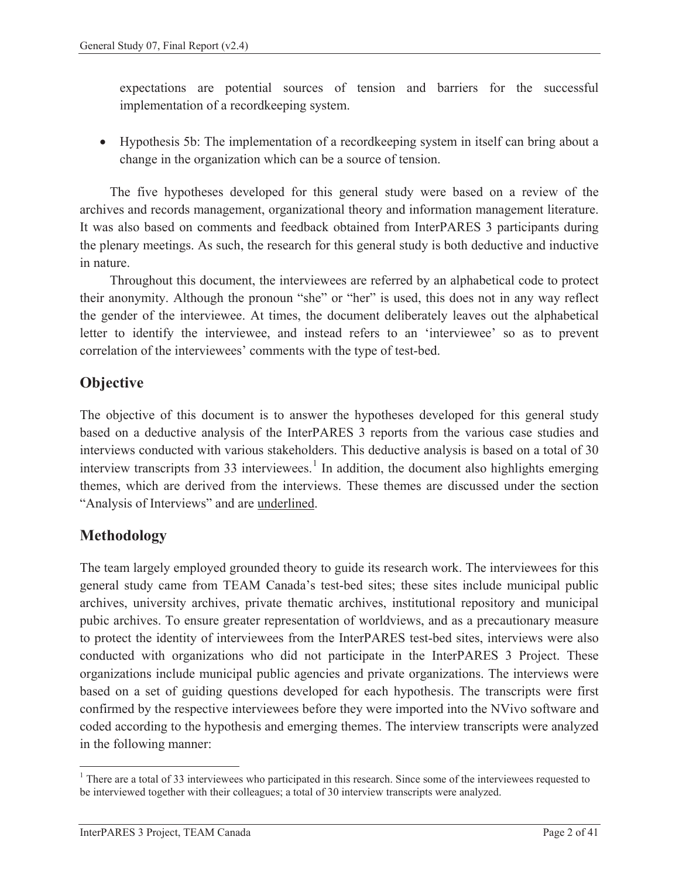expectations are potential sources of tension and barriers for the successful implementation of a recordkeeping system.

• Hypothesis 5b: The implementation of a recordkeeping system in itself can bring about a change in the organization which can be a source of tension.

The five hypotheses developed for this general study were based on a review of the archives and records management, organizational theory and information management literature. It was also based on comments and feedback obtained from InterPARES 3 participants during the plenary meetings. As such, the research for this general study is both deductive and inductive in nature.

Throughout this document, the interviewees are referred by an alphabetical code to protect their anonymity. Although the pronoun "she" or "her" is used, this does not in any way reflect the gender of the interviewee. At times, the document deliberately leaves out the alphabetical letter to identify the interviewee, and instead refers to an 'interviewee' so as to prevent correlation of the interviewees' comments with the type of test-bed.

## **Objective**

The objective of this document is to answer the hypotheses developed for this general study based on a deductive analysis of the InterPARES 3 reports from the various case studies and interviews conducted with various stakeholders. This deductive analysis is based on a total of 30 interview transcripts from 33 interviewees.<sup>1</sup> In addition, the document also highlights emerging themes, which are derived from the interviews. These themes are discussed under the section "Analysis of Interviews" and are underlined.

# **Methodology**

 $\overline{a}$ 

The team largely employed grounded theory to guide its research work. The interviewees for this general study came from TEAM Canada's test-bed sites; these sites include municipal public archives, university archives, private thematic archives, institutional repository and municipal pubic archives. To ensure greater representation of worldviews, and as a precautionary measure to protect the identity of interviewees from the InterPARES test-bed sites, interviews were also conducted with organizations who did not participate in the InterPARES 3 Project. These organizations include municipal public agencies and private organizations. The interviews were based on a set of guiding questions developed for each hypothesis. The transcripts were first confirmed by the respective interviewees before they were imported into the NVivo software and coded according to the hypothesis and emerging themes. The interview transcripts were analyzed in the following manner:

<sup>&</sup>lt;sup>1</sup> There are a total of 33 interviewees who participated in this research. Since some of the interviewees requested to be interviewed together with their colleagues; a total of 30 interview transcripts were analyzed.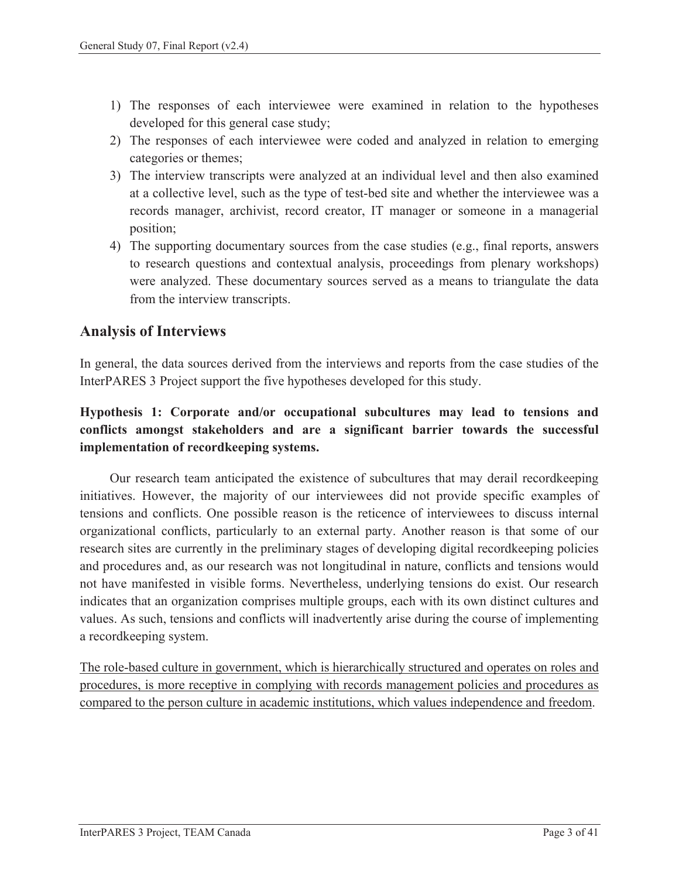- 1) The responses of each interviewee were examined in relation to the hypotheses developed for this general case study;
- 2) The responses of each interviewee were coded and analyzed in relation to emerging categories or themes;
- 3) The interview transcripts were analyzed at an individual level and then also examined at a collective level, such as the type of test-bed site and whether the interviewee was a records manager, archivist, record creator, IT manager or someone in a managerial position;
- 4) The supporting documentary sources from the case studies (e.g., final reports, answers to research questions and contextual analysis, proceedings from plenary workshops) were analyzed. These documentary sources served as a means to triangulate the data from the interview transcripts.

## **Analysis of Interviews**

In general, the data sources derived from the interviews and reports from the case studies of the InterPARES 3 Project support the five hypotheses developed for this study.

### **Hypothesis 1: Corporate and/or occupational subcultures may lead to tensions and conflicts amongst stakeholders and are a significant barrier towards the successful implementation of recordkeeping systems.**

Our research team anticipated the existence of subcultures that may derail recordkeeping initiatives. However, the majority of our interviewees did not provide specific examples of tensions and conflicts. One possible reason is the reticence of interviewees to discuss internal organizational conflicts, particularly to an external party. Another reason is that some of our research sites are currently in the preliminary stages of developing digital recordkeeping policies and procedures and, as our research was not longitudinal in nature, conflicts and tensions would not have manifested in visible forms. Nevertheless, underlying tensions do exist. Our research indicates that an organization comprises multiple groups, each with its own distinct cultures and values. As such, tensions and conflicts will inadvertently arise during the course of implementing a recordkeeping system.

The role-based culture in government, which is hierarchically structured and operates on roles and procedures, is more receptive in complying with records management policies and procedures as compared to the person culture in academic institutions, which values independence and freedom.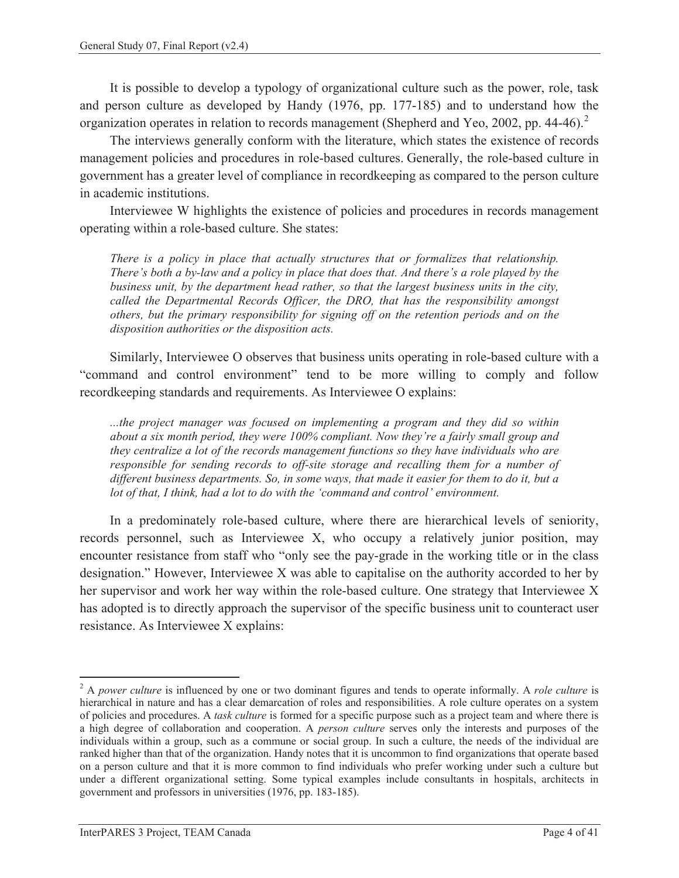It is possible to develop a typology of organizational culture such as the power, role, task and person culture as developed by Handy (1976, pp. 177-185) and to understand how the organization operates in relation to records management (Shepherd and Yeo, 2002, pp. 44-46).<sup>2</sup>

The interviews generally conform with the literature, which states the existence of records management policies and procedures in role-based cultures. Generally, the role-based culture in government has a greater level of compliance in recordkeeping as compared to the person culture in academic institutions.

Interviewee W highlights the existence of policies and procedures in records management operating within a role-based culture. She states:

*There is a policy in place that actually structures that or formalizes that relationship. There's both a by-law and a policy in place that does that. And there's a role played by the business unit, by the department head rather, so that the largest business units in the city, called the Departmental Records Officer, the DRO, that has the responsibility amongst others, but the primary responsibility for signing off on the retention periods and on the disposition authorities or the disposition acts.* 

Similarly, Interviewee O observes that business units operating in role-based culture with a "command and control environment" tend to be more willing to comply and follow recordkeeping standards and requirements. As Interviewee O explains:

*...the project manager was focused on implementing a program and they did so within about a six month period, they were 100% compliant. Now they're a fairly small group and they centralize a lot of the records management functions so they have individuals who are responsible for sending records to off-site storage and recalling them for a number of different business departments. So, in some ways, that made it easier for them to do it, but a lot of that, I think, had a lot to do with the 'command and control' environment.* 

In a predominately role-based culture, where there are hierarchical levels of seniority, records personnel, such as Interviewee X, who occupy a relatively junior position, may encounter resistance from staff who "only see the pay-grade in the working title or in the class designation." However, Interviewee X was able to capitalise on the authority accorded to her by her supervisor and work her way within the role-based culture. One strategy that Interviewee X has adopted is to directly approach the supervisor of the specific business unit to counteract user resistance. As Interviewee X explains:

 $\overline{a}$ 

<sup>2</sup> A *power culture* is influenced by one or two dominant figures and tends to operate informally. A *role culture* is hierarchical in nature and has a clear demarcation of roles and responsibilities. A role culture operates on a system of policies and procedures. A *task culture* is formed for a specific purpose such as a project team and where there is a high degree of collaboration and cooperation. A *person culture* serves only the interests and purposes of the individuals within a group, such as a commune or social group. In such a culture, the needs of the individual are ranked higher than that of the organization. Handy notes that it is uncommon to find organizations that operate based on a person culture and that it is more common to find individuals who prefer working under such a culture but under a different organizational setting. Some typical examples include consultants in hospitals, architects in government and professors in universities (1976, pp. 183-185).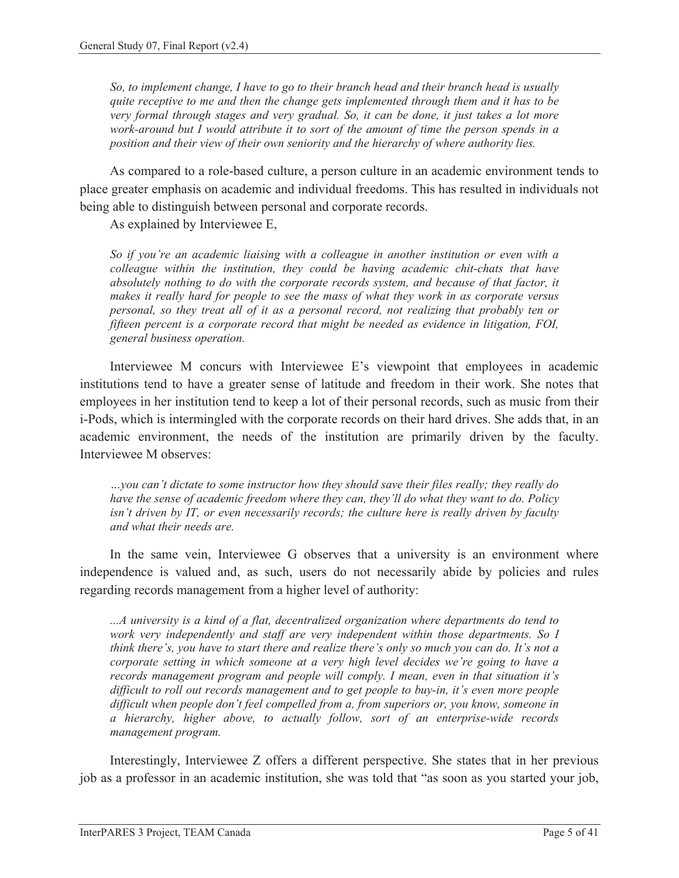*So, to implement change, I have to go to their branch head and their branch head is usually quite receptive to me and then the change gets implemented through them and it has to be very formal through stages and very gradual. So, it can be done, it just takes a lot more work-around but I would attribute it to sort of the amount of time the person spends in a position and their view of their own seniority and the hierarchy of where authority lies.* 

As compared to a role-based culture, a person culture in an academic environment tends to place greater emphasis on academic and individual freedoms. This has resulted in individuals not being able to distinguish between personal and corporate records.

As explained by Interviewee E,

*So if you're an academic liaising with a colleague in another institution or even with a colleague within the institution, they could be having academic chit-chats that have absolutely nothing to do with the corporate records system, and because of that factor, it makes it really hard for people to see the mass of what they work in as corporate versus personal, so they treat all of it as a personal record, not realizing that probably ten or fifteen percent is a corporate record that might be needed as evidence in litigation, FOI, general business operation.* 

Interviewee M concurs with Interviewee E's viewpoint that employees in academic institutions tend to have a greater sense of latitude and freedom in their work. She notes that employees in her institution tend to keep a lot of their personal records, such as music from their i-Pods, which is intermingled with the corporate records on their hard drives. She adds that, in an academic environment, the needs of the institution are primarily driven by the faculty. Interviewee M observes:

*…you can't dictate to some instructor how they should save their files really; they really do have the sense of academic freedom where they can, they'll do what they want to do. Policy isn't driven by IT, or even necessarily records; the culture here is really driven by faculty and what their needs are.* 

In the same vein, Interviewee G observes that a university is an environment where independence is valued and, as such, users do not necessarily abide by policies and rules regarding records management from a higher level of authority:

*...A university is a kind of a flat, decentralized organization where departments do tend to work very independently and staff are very independent within those departments. So I think there's, you have to start there and realize there's only so much you can do. It's not a corporate setting in which someone at a very high level decides we're going to have a records management program and people will comply. I mean, even in that situation it's difficult to roll out records management and to get people to buy-in, it's even more people difficult when people don't feel compelled from a, from superiors or, you know, someone in a hierarchy, higher above, to actually follow, sort of an enterprise-wide records management program.* 

Interestingly, Interviewee Z offers a different perspective. She states that in her previous job as a professor in an academic institution, she was told that "as soon as you started your job,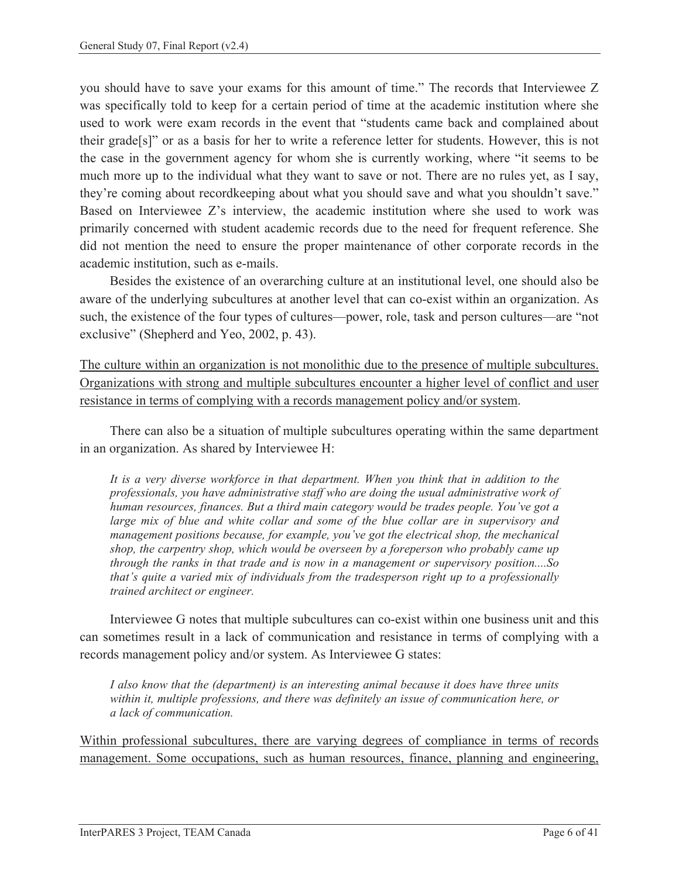you should have to save your exams for this amount of time." The records that Interviewee Z was specifically told to keep for a certain period of time at the academic institution where she used to work were exam records in the event that "students came back and complained about their grade[s]" or as a basis for her to write a reference letter for students. However, this is not the case in the government agency for whom she is currently working, where "it seems to be much more up to the individual what they want to save or not. There are no rules yet, as I say, they're coming about recordkeeping about what you should save and what you shouldn't save." Based on Interviewee Z's interview, the academic institution where she used to work was primarily concerned with student academic records due to the need for frequent reference. She did not mention the need to ensure the proper maintenance of other corporate records in the academic institution, such as e-mails.

Besides the existence of an overarching culture at an institutional level, one should also be aware of the underlying subcultures at another level that can co-exist within an organization. As such, the existence of the four types of cultures—power, role, task and person cultures—are "not exclusive" (Shepherd and Yeo, 2002, p. 43).

The culture within an organization is not monolithic due to the presence of multiple subcultures. Organizations with strong and multiple subcultures encounter a higher level of conflict and user resistance in terms of complying with a records management policy and/or system.

There can also be a situation of multiple subcultures operating within the same department in an organization. As shared by Interviewee H:

*It is a very diverse workforce in that department. When you think that in addition to the professionals, you have administrative staff who are doing the usual administrative work of human resources, finances. But a third main category would be trades people. You've got a large mix of blue and white collar and some of the blue collar are in supervisory and management positions because, for example, you've got the electrical shop, the mechanical shop, the carpentry shop, which would be overseen by a foreperson who probably came up through the ranks in that trade and is now in a management or supervisory position....So that's quite a varied mix of individuals from the tradesperson right up to a professionally trained architect or engineer.* 

Interviewee G notes that multiple subcultures can co-exist within one business unit and this can sometimes result in a lack of communication and resistance in terms of complying with a records management policy and/or system. As Interviewee G states:

*I also know that the (department) is an interesting animal because it does have three units within it, multiple professions, and there was definitely an issue of communication here, or a lack of communication.* 

Within professional subcultures, there are varying degrees of compliance in terms of records management. Some occupations, such as human resources, finance, planning and engineering,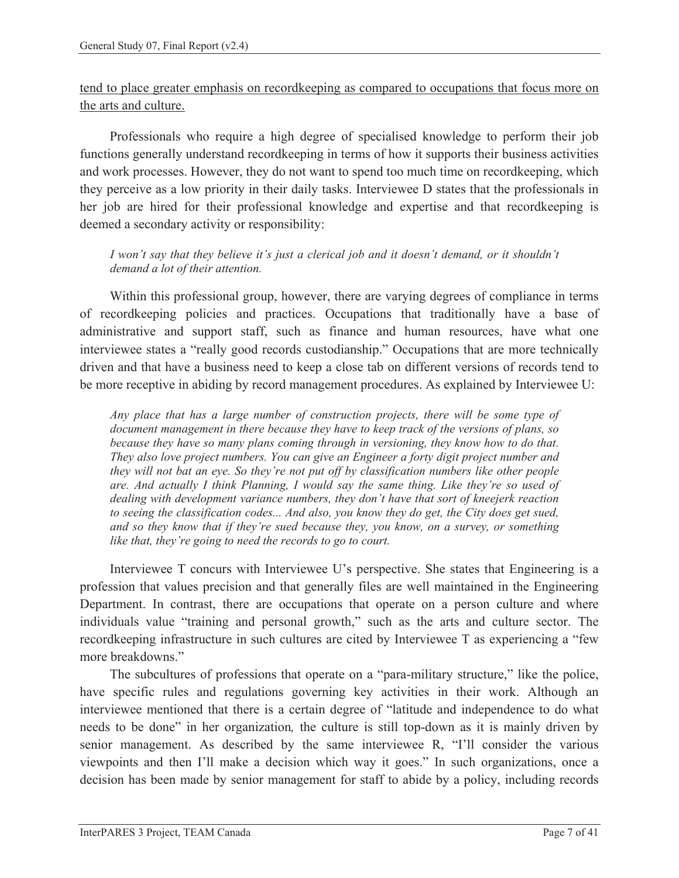tend to place greater emphasis on recordkeeping as compared to occupations that focus more on the arts and culture.

Professionals who require a high degree of specialised knowledge to perform their job functions generally understand recordkeeping in terms of how it supports their business activities and work processes. However, they do not want to spend too much time on recordkeeping, which they perceive as a low priority in their daily tasks. Interviewee D states that the professionals in her job are hired for their professional knowledge and expertise and that recordkeeping is deemed a secondary activity or responsibility:

#### *I won't say that they believe it's just a clerical job and it doesn't demand, or it shouldn't demand a lot of their attention.*

Within this professional group, however, there are varying degrees of compliance in terms of recordkeeping policies and practices. Occupations that traditionally have a base of administrative and support staff, such as finance and human resources, have what one interviewee states a "really good records custodianship." Occupations that are more technically driven and that have a business need to keep a close tab on different versions of records tend to be more receptive in abiding by record management procedures. As explained by Interviewee U:

*Any place that has a large number of construction projects, there will be some type of document management in there because they have to keep track of the versions of plans, so because they have so many plans coming through in versioning, they know how to do that. They also love project numbers. You can give an Engineer a forty digit project number and they will not bat an eye. So they're not put off by classification numbers like other people are. And actually I think Planning, I would say the same thing. Like they're so used of dealing with development variance numbers, they don't have that sort of kneejerk reaction to seeing the classification codes... And also, you know they do get, the City does get sued, and so they know that if they're sued because they, you know, on a survey, or something like that, they're going to need the records to go to court.* 

Interviewee T concurs with Interviewee U's perspective. She states that Engineering is a profession that values precision and that generally files are well maintained in the Engineering Department. In contrast, there are occupations that operate on a person culture and where individuals value "training and personal growth," such as the arts and culture sector. The recordkeeping infrastructure in such cultures are cited by Interviewee T as experiencing a "few more breakdowns."

The subcultures of professions that operate on a "para-military structure," like the police, have specific rules and regulations governing key activities in their work. Although an interviewee mentioned that there is a certain degree of "latitude and independence to do what needs to be done" in her organization*,* the culture is still top-down as it is mainly driven by senior management. As described by the same interviewee R, "I'll consider the various viewpoints and then I'll make a decision which way it goes." In such organizations, once a decision has been made by senior management for staff to abide by a policy, including records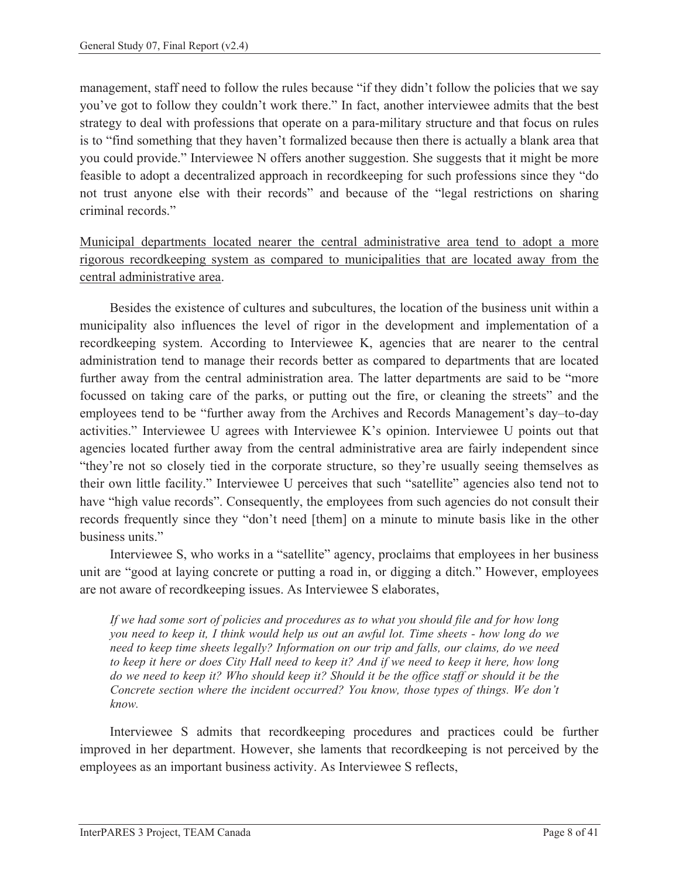management, staff need to follow the rules because "if they didn't follow the policies that we say you've got to follow they couldn't work there." In fact, another interviewee admits that the best strategy to deal with professions that operate on a para-military structure and that focus on rules is to "find something that they haven't formalized because then there is actually a blank area that you could provide." Interviewee N offers another suggestion. She suggests that it might be more feasible to adopt a decentralized approach in recordkeeping for such professions since they "do not trust anyone else with their records" and because of the "legal restrictions on sharing criminal records."

Municipal departments located nearer the central administrative area tend to adopt a more rigorous recordkeeping system as compared to municipalities that are located away from the central administrative area.

Besides the existence of cultures and subcultures, the location of the business unit within a municipality also influences the level of rigor in the development and implementation of a recordkeeping system. According to Interviewee K, agencies that are nearer to the central administration tend to manage their records better as compared to departments that are located further away from the central administration area. The latter departments are said to be "more focussed on taking care of the parks, or putting out the fire, or cleaning the streets" and the employees tend to be "further away from the Archives and Records Management's day–to-day activities." Interviewee U agrees with Interviewee K's opinion. Interviewee U points out that agencies located further away from the central administrative area are fairly independent since "they're not so closely tied in the corporate structure, so they're usually seeing themselves as their own little facility." Interviewee U perceives that such "satellite" agencies also tend not to have "high value records". Consequently, the employees from such agencies do not consult their records frequently since they "don't need [them] on a minute to minute basis like in the other business units."

Interviewee S, who works in a "satellite" agency, proclaims that employees in her business unit are "good at laying concrete or putting a road in, or digging a ditch." However, employees are not aware of recordkeeping issues. As Interviewee S elaborates,

*If we had some sort of policies and procedures as to what you should file and for how long you need to keep it, I think would help us out an awful lot. Time sheets - how long do we need to keep time sheets legally? Information on our trip and falls, our claims, do we need to keep it here or does City Hall need to keep it? And if we need to keep it here, how long do we need to keep it? Who should keep it? Should it be the office staff or should it be the Concrete section where the incident occurred? You know, those types of things. We don't know.* 

Interviewee S admits that recordkeeping procedures and practices could be further improved in her department. However, she laments that recordkeeping is not perceived by the employees as an important business activity. As Interviewee S reflects,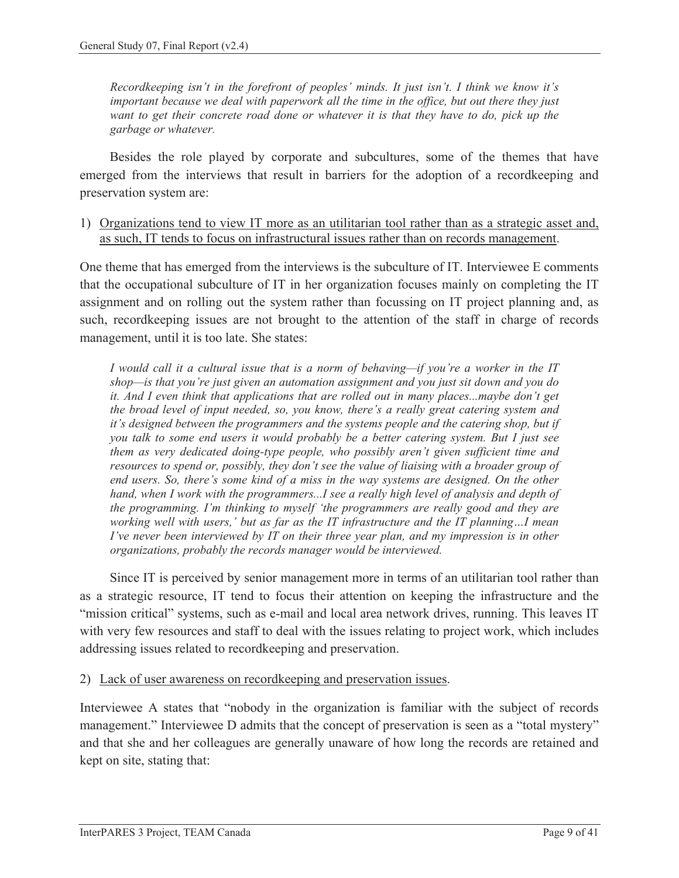*Recordkeeping isn't in the forefront of peoples' minds. It just isn't. I think we know it's important because we deal with paperwork all the time in the office, but out there they just want to get their concrete road done or whatever it is that they have to do, pick up the garbage or whatever.* 

Besides the role played by corporate and subcultures, some of the themes that have emerged from the interviews that result in barriers for the adoption of a recordkeeping and preservation system are:

1) Organizations tend to view IT more as an utilitarian tool rather than as a strategic asset and, as such, IT tends to focus on infrastructural issues rather than on records management.

One theme that has emerged from the interviews is the subculture of IT. Interviewee E comments that the occupational subculture of IT in her organization focuses mainly on completing the IT assignment and on rolling out the system rather than focussing on IT project planning and, as such, recordkeeping issues are not brought to the attention of the staff in charge of records management, until it is too late. She states:

*I would call it a cultural issue that is a norm of behaving—if you're a worker in the IT shop—is that you're just given an automation assignment and you just sit down and you do it. And I even think that applications that are rolled out in many places...maybe don't get the broad level of input needed, so, you know, there's a really great catering system and it's designed between the programmers and the systems people and the catering shop, but if you talk to some end users it would probably be a better catering system. But I just see them as very dedicated doing-type people, who possibly aren't given sufficient time and resources to spend or, possibly, they don't see the value of liaising with a broader group of end users. So, there's some kind of a miss in the way systems are designed. On the other hand, when I work with the programmers...I see a really high level of analysis and depth of the programming. I'm thinking to myself 'the programmers are really good and they are working well with users,' but as far as the IT infrastructure and the IT planning…I mean I've never been interviewed by IT on their three year plan, and my impression is in other organizations, probably the records manager would be interviewed.* 

Since IT is perceived by senior management more in terms of an utilitarian tool rather than as a strategic resource, IT tend to focus their attention on keeping the infrastructure and the "mission critical" systems, such as e-mail and local area network drives, running. This leaves IT with very few resources and staff to deal with the issues relating to project work, which includes addressing issues related to recordkeeping and preservation.

2) Lack of user awareness on recordkeeping and preservation issues.

Interviewee A states that "nobody in the organization is familiar with the subject of records management." Interviewee D admits that the concept of preservation is seen as a "total mystery" and that she and her colleagues are generally unaware of how long the records are retained and kept on site, stating that: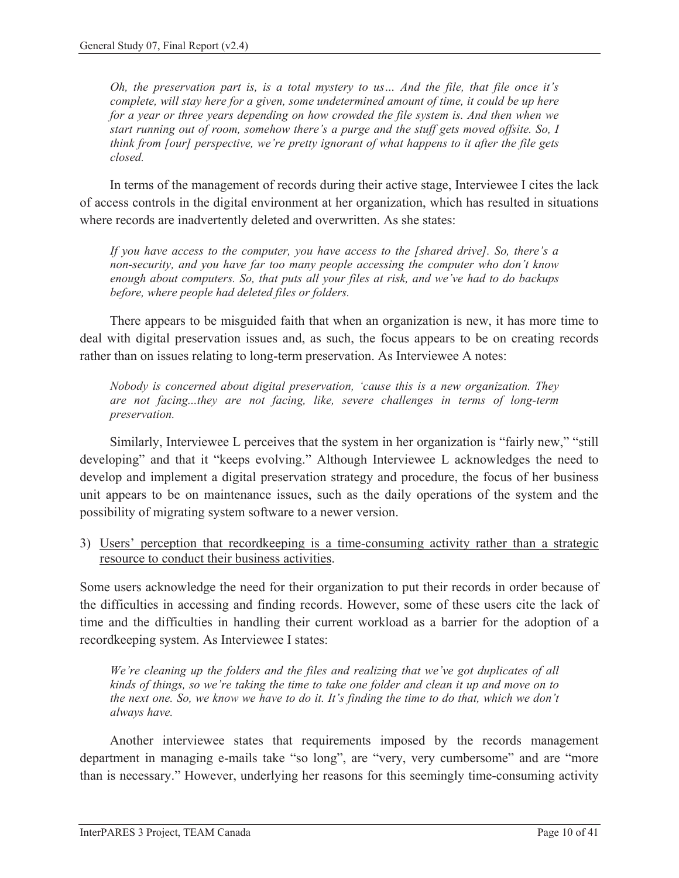*Oh, the preservation part is, is a total mystery to us… And the file, that file once it's complete, will stay here for a given, some undetermined amount of time, it could be up here for a year or three years depending on how crowded the file system is. And then when we start running out of room, somehow there's a purge and the stuff gets moved offsite. So, I think from [our] perspective, we're pretty ignorant of what happens to it after the file gets closed.* 

In terms of the management of records during their active stage, Interviewee I cites the lack of access controls in the digital environment at her organization, which has resulted in situations where records are inadvertently deleted and overwritten. As she states:

*If you have access to the computer, you have access to the [shared drive]. So, there's a non-security, and you have far too many people accessing the computer who don't know enough about computers. So, that puts all your files at risk, and we've had to do backups before, where people had deleted files or folders.* 

There appears to be misguided faith that when an organization is new, it has more time to deal with digital preservation issues and, as such, the focus appears to be on creating records rather than on issues relating to long-term preservation. As Interviewee A notes:

*Nobody is concerned about digital preservation, 'cause this is a new organization. They are not facing...they are not facing, like, severe challenges in terms of long-term preservation.*

Similarly, Interviewee L perceives that the system in her organization is "fairly new," "still developing" and that it "keeps evolving." Although Interviewee L acknowledges the need to develop and implement a digital preservation strategy and procedure, the focus of her business unit appears to be on maintenance issues, such as the daily operations of the system and the possibility of migrating system software to a newer version.

3) Users' perception that recordkeeping is a time-consuming activity rather than a strategic resource to conduct their business activities.

Some users acknowledge the need for their organization to put their records in order because of the difficulties in accessing and finding records. However, some of these users cite the lack of time and the difficulties in handling their current workload as a barrier for the adoption of a recordkeeping system. As Interviewee I states:

*We're cleaning up the folders and the files and realizing that we've got duplicates of all kinds of things, so we're taking the time to take one folder and clean it up and move on to the next one. So, we know we have to do it. It's finding the time to do that, which we don't always have.* 

Another interviewee states that requirements imposed by the records management department in managing e-mails take "so long", are "very, very cumbersome" and are "more than is necessary." However, underlying her reasons for this seemingly time-consuming activity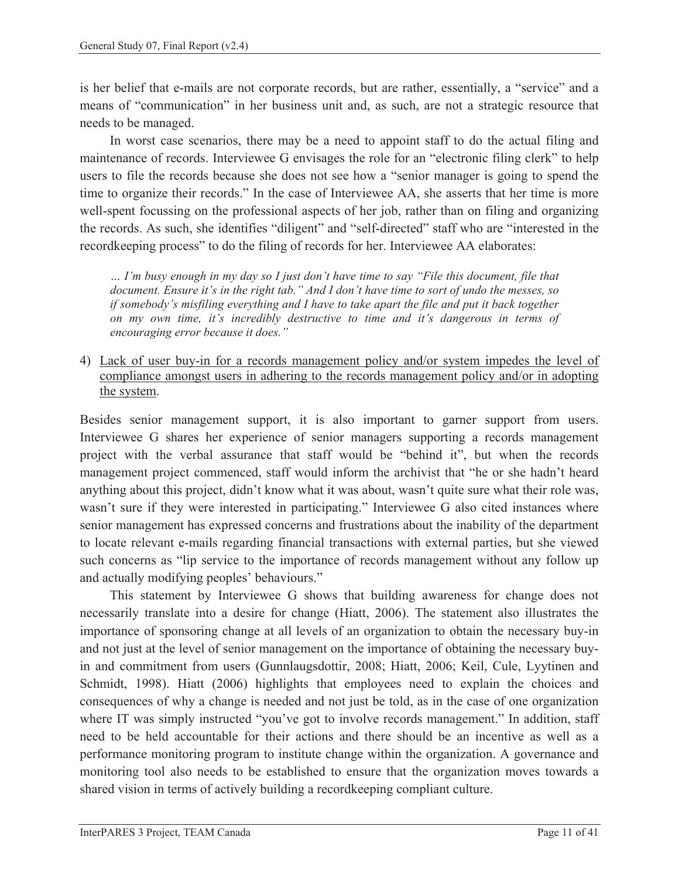is her belief that e-mails are not corporate records, but are rather, essentially, a "service" and a means of "communication" in her business unit and, as such, are not a strategic resource that needs to be managed.

In worst case scenarios, there may be a need to appoint staff to do the actual filing and maintenance of records. Interviewee G envisages the role for an "electronic filing clerk" to help users to file the records because she does not see how a "senior manager is going to spend the time to organize their records." In the case of Interviewee AA, she asserts that her time is more well-spent focussing on the professional aspects of her job, rather than on filing and organizing the records. As such, she identifies "diligent" and "self-directed" staff who are "interested in the recordkeeping process" to do the filing of records for her. Interviewee AA elaborates:

*… I'm busy enough in my day so I just don't have time to say "File this document, file that document. Ensure it's in the right tab." And I don't have time to sort of undo the messes, so if somebody's misfiling everything and I have to take apart the file and put it back together on my own time, it's incredibly destructive to time and it's dangerous in terms of encouraging error because it does."* 

4) Lack of user buy-in for a records management policy and/or system impedes the level of compliance amongst users in adhering to the records management policy and/or in adopting the system.

Besides senior management support, it is also important to garner support from users. Interviewee G shares her experience of senior managers supporting a records management project with the verbal assurance that staff would be "behind it", but when the records management project commenced, staff would inform the archivist that "he or she hadn't heard anything about this project, didn't know what it was about, wasn't quite sure what their role was, wasn't sure if they were interested in participating." Interviewee G also cited instances where senior management has expressed concerns and frustrations about the inability of the department to locate relevant e-mails regarding financial transactions with external parties, but she viewed such concerns as "lip service to the importance of records management without any follow up and actually modifying peoples' behaviours."

This statement by Interviewee G shows that building awareness for change does not necessarily translate into a desire for change (Hiatt, 2006). The statement also illustrates the importance of sponsoring change at all levels of an organization to obtain the necessary buy-in and not just at the level of senior management on the importance of obtaining the necessary buyin and commitment from users (Gunnlaugsdottir, 2008; Hiatt, 2006; Keil, Cule, Lyytinen and Schmidt, 1998). Hiatt (2006) highlights that employees need to explain the choices and consequences of why a change is needed and not just be told, as in the case of one organization where IT was simply instructed "you've got to involve records management." In addition, staff need to be held accountable for their actions and there should be an incentive as well as a performance monitoring program to institute change within the organization. A governance and monitoring tool also needs to be established to ensure that the organization moves towards a shared vision in terms of actively building a recordkeeping compliant culture.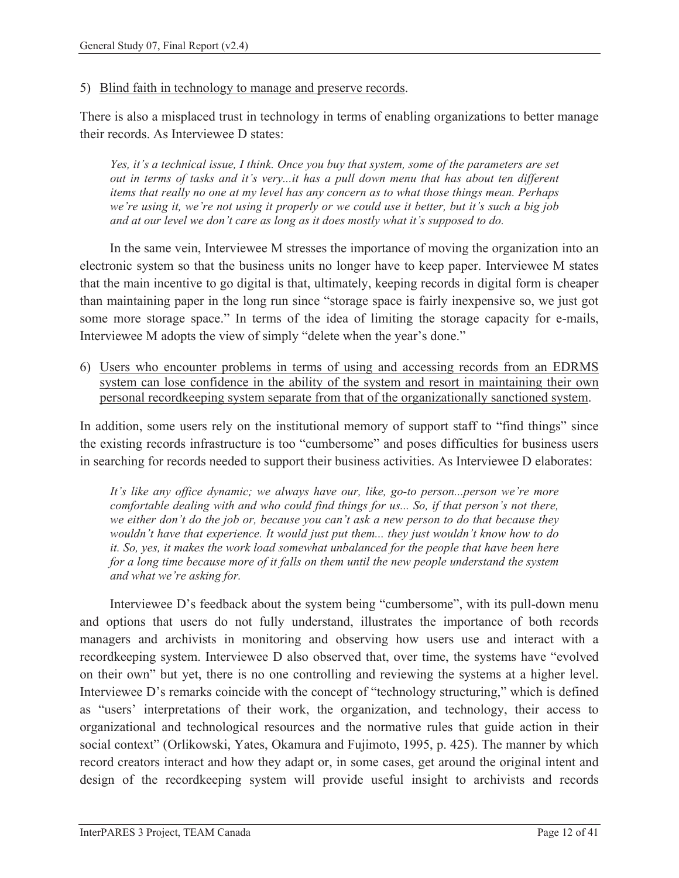#### 5) Blind faith in technology to manage and preserve records.

There is also a misplaced trust in technology in terms of enabling organizations to better manage their records. As Interviewee D states:

*Yes, it's a technical issue, I think. Once you buy that system, some of the parameters are set out in terms of tasks and it's very...it has a pull down menu that has about ten different items that really no one at my level has any concern as to what those things mean. Perhaps we're using it, we're not using it properly or we could use it better, but it's such a big job and at our level we don't care as long as it does mostly what it's supposed to do.* 

In the same vein, Interviewee M stresses the importance of moving the organization into an electronic system so that the business units no longer have to keep paper. Interviewee M states that the main incentive to go digital is that, ultimately, keeping records in digital form is cheaper than maintaining paper in the long run since "storage space is fairly inexpensive so, we just got some more storage space." In terms of the idea of limiting the storage capacity for e-mails, Interviewee M adopts the view of simply "delete when the year's done."

6) Users who encounter problems in terms of using and accessing records from an EDRMS system can lose confidence in the ability of the system and resort in maintaining their own personal recordkeeping system separate from that of the organizationally sanctioned system.

In addition, some users rely on the institutional memory of support staff to "find things" since the existing records infrastructure is too "cumbersome" and poses difficulties for business users in searching for records needed to support their business activities. As Interviewee D elaborates:

*It's like any office dynamic; we always have our, like, go-to person...person we're more comfortable dealing with and who could find things for us... So, if that person's not there, we either don't do the job or, because you can't ask a new person to do that because they wouldn't have that experience. It would just put them... they just wouldn't know how to do it. So, yes, it makes the work load somewhat unbalanced for the people that have been here for a long time because more of it falls on them until the new people understand the system and what we're asking for.* 

Interviewee D's feedback about the system being "cumbersome", with its pull-down menu and options that users do not fully understand, illustrates the importance of both records managers and archivists in monitoring and observing how users use and interact with a recordkeeping system. Interviewee D also observed that, over time, the systems have "evolved on their own" but yet, there is no one controlling and reviewing the systems at a higher level. Interviewee D's remarks coincide with the concept of "technology structuring," which is defined as "users' interpretations of their work, the organization, and technology, their access to organizational and technological resources and the normative rules that guide action in their social context" (Orlikowski, Yates, Okamura and Fujimoto, 1995, p. 425). The manner by which record creators interact and how they adapt or, in some cases, get around the original intent and design of the recordkeeping system will provide useful insight to archivists and records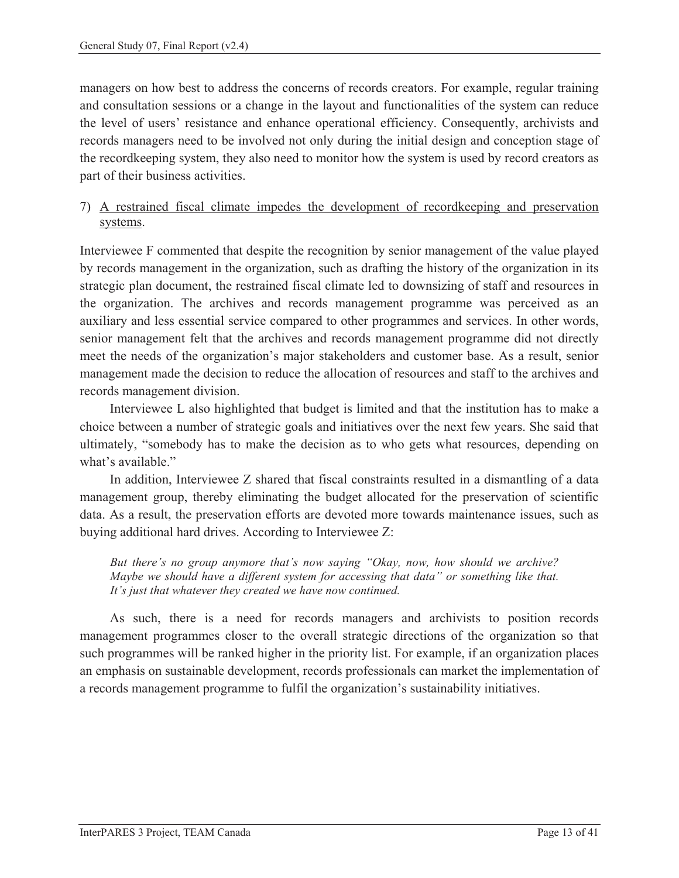managers on how best to address the concerns of records creators. For example, regular training and consultation sessions or a change in the layout and functionalities of the system can reduce the level of users' resistance and enhance operational efficiency. Consequently, archivists and records managers need to be involved not only during the initial design and conception stage of the recordkeeping system, they also need to monitor how the system is used by record creators as part of their business activities.

#### 7) A restrained fiscal climate impedes the development of recordkeeping and preservation systems.

Interviewee F commented that despite the recognition by senior management of the value played by records management in the organization, such as drafting the history of the organization in its strategic plan document, the restrained fiscal climate led to downsizing of staff and resources in the organization. The archives and records management programme was perceived as an auxiliary and less essential service compared to other programmes and services. In other words, senior management felt that the archives and records management programme did not directly meet the needs of the organization's major stakeholders and customer base. As a result, senior management made the decision to reduce the allocation of resources and staff to the archives and records management division.

Interviewee L also highlighted that budget is limited and that the institution has to make a choice between a number of strategic goals and initiatives over the next few years. She said that ultimately, "somebody has to make the decision as to who gets what resources, depending on what's available."

In addition, Interviewee Z shared that fiscal constraints resulted in a dismantling of a data management group, thereby eliminating the budget allocated for the preservation of scientific data. As a result, the preservation efforts are devoted more towards maintenance issues, such as buying additional hard drives. According to Interviewee Z:

*But there's no group anymore that's now saying "Okay, now, how should we archive? Maybe we should have a different system for accessing that data" or something like that. It's just that whatever they created we have now continued.* 

As such, there is a need for records managers and archivists to position records management programmes closer to the overall strategic directions of the organization so that such programmes will be ranked higher in the priority list. For example, if an organization places an emphasis on sustainable development, records professionals can market the implementation of a records management programme to fulfil the organization's sustainability initiatives.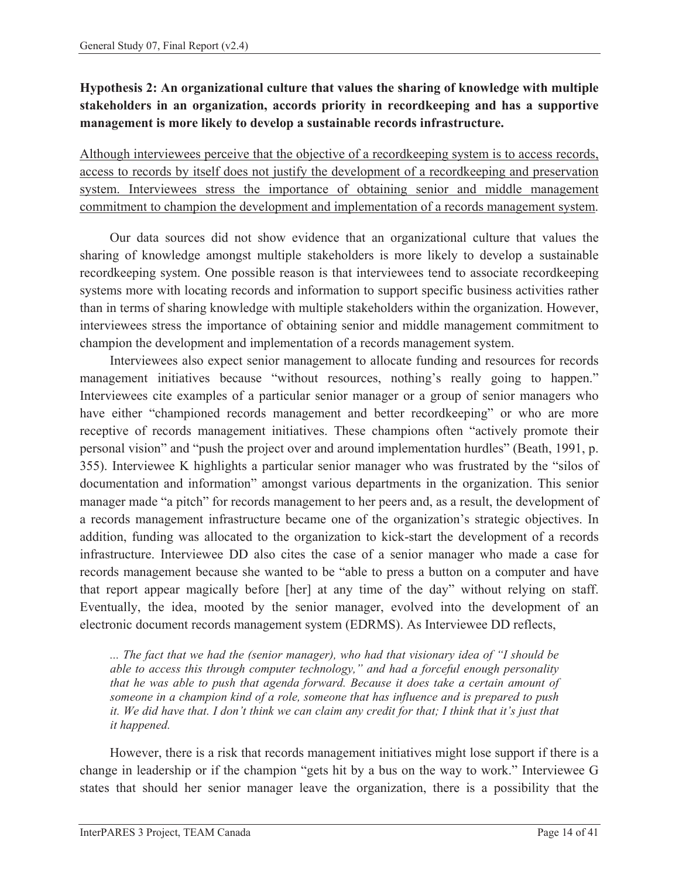### **Hypothesis 2: An organizational culture that values the sharing of knowledge with multiple stakeholders in an organization, accords priority in recordkeeping and has a supportive management is more likely to develop a sustainable records infrastructure.**

Although interviewees perceive that the objective of a recordkeeping system is to access records, access to records by itself does not justify the development of a recordkeeping and preservation system. Interviewees stress the importance of obtaining senior and middle management commitment to champion the development and implementation of a records management system.

Our data sources did not show evidence that an organizational culture that values the sharing of knowledge amongst multiple stakeholders is more likely to develop a sustainable recordkeeping system. One possible reason is that interviewees tend to associate recordkeeping systems more with locating records and information to support specific business activities rather than in terms of sharing knowledge with multiple stakeholders within the organization. However, interviewees stress the importance of obtaining senior and middle management commitment to champion the development and implementation of a records management system.

Interviewees also expect senior management to allocate funding and resources for records management initiatives because "without resources, nothing's really going to happen." Interviewees cite examples of a particular senior manager or a group of senior managers who have either "championed records management and better recordkeeping" or who are more receptive of records management initiatives. These champions often "actively promote their personal vision" and "push the project over and around implementation hurdles" (Beath, 1991, p. 355). Interviewee K highlights a particular senior manager who was frustrated by the "silos of documentation and information" amongst various departments in the organization. This senior manager made "a pitch" for records management to her peers and, as a result, the development of a records management infrastructure became one of the organization's strategic objectives. In addition, funding was allocated to the organization to kick-start the development of a records infrastructure. Interviewee DD also cites the case of a senior manager who made a case for records management because she wanted to be "able to press a button on a computer and have that report appear magically before [her] at any time of the day" without relying on staff. Eventually, the idea, mooted by the senior manager, evolved into the development of an electronic document records management system (EDRMS). As Interviewee DD reflects,

*... The fact that we had the (senior manager), who had that visionary idea of "I should be able to access this through computer technology," and had a forceful enough personality that he was able to push that agenda forward. Because it does take a certain amount of someone in a champion kind of a role, someone that has influence and is prepared to push it. We did have that. I don't think we can claim any credit for that; I think that it's just that it happened.* 

However, there is a risk that records management initiatives might lose support if there is a change in leadership or if the champion "gets hit by a bus on the way to work." Interviewee G states that should her senior manager leave the organization, there is a possibility that the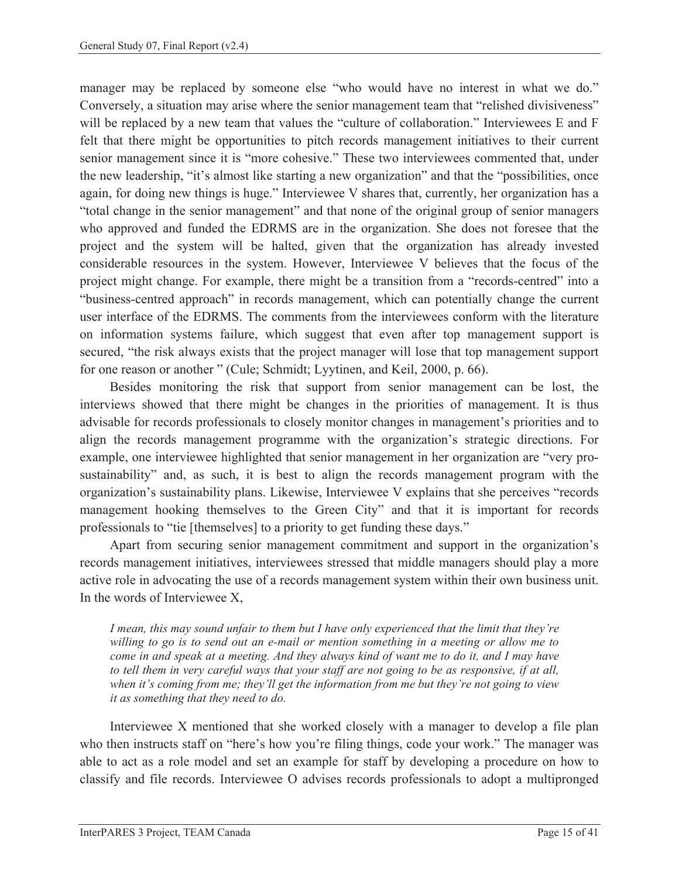manager may be replaced by someone else "who would have no interest in what we do." Conversely, a situation may arise where the senior management team that "relished divisiveness" will be replaced by a new team that values the "culture of collaboration." Interviewees E and F felt that there might be opportunities to pitch records management initiatives to their current senior management since it is "more cohesive." These two interviewees commented that, under the new leadership, "it's almost like starting a new organization" and that the "possibilities, once again, for doing new things is huge." Interviewee V shares that, currently, her organization has a "total change in the senior management" and that none of the original group of senior managers who approved and funded the EDRMS are in the organization. She does not foresee that the project and the system will be halted, given that the organization has already invested considerable resources in the system. However, Interviewee V believes that the focus of the project might change. For example, there might be a transition from a "records-centred" into a "business-centred approach" in records management, which can potentially change the current user interface of the EDRMS. The comments from the interviewees conform with the literature on information systems failure, which suggest that even after top management support is secured, "the risk always exists that the project manager will lose that top management support for one reason or another " (Cule; Schmidt; Lyytinen, and Keil, 2000, p. 66).

Besides monitoring the risk that support from senior management can be lost, the interviews showed that there might be changes in the priorities of management. It is thus advisable for records professionals to closely monitor changes in management's priorities and to align the records management programme with the organization's strategic directions. For example, one interviewee highlighted that senior management in her organization are "very prosustainability" and, as such, it is best to align the records management program with the organization's sustainability plans. Likewise, Interviewee V explains that she perceives "records management hooking themselves to the Green City" and that it is important for records professionals to "tie [themselves] to a priority to get funding these days."

Apart from securing senior management commitment and support in the organization's records management initiatives, interviewees stressed that middle managers should play a more active role in advocating the use of a records management system within their own business unit. In the words of Interviewee X,

*I mean, this may sound unfair to them but I have only experienced that the limit that they're willing to go is to send out an e-mail or mention something in a meeting or allow me to come in and speak at a meeting. And they always kind of want me to do it, and I may have to tell them in very careful ways that your staff are not going to be as responsive, if at all, when it's coming from me; they'll get the information from me but they're not going to view it as something that they need to do.* 

Interviewee X mentioned that she worked closely with a manager to develop a file plan who then instructs staff on "here's how you're filing things, code your work." The manager was able to act as a role model and set an example for staff by developing a procedure on how to classify and file records. Interviewee O advises records professionals to adopt a multipronged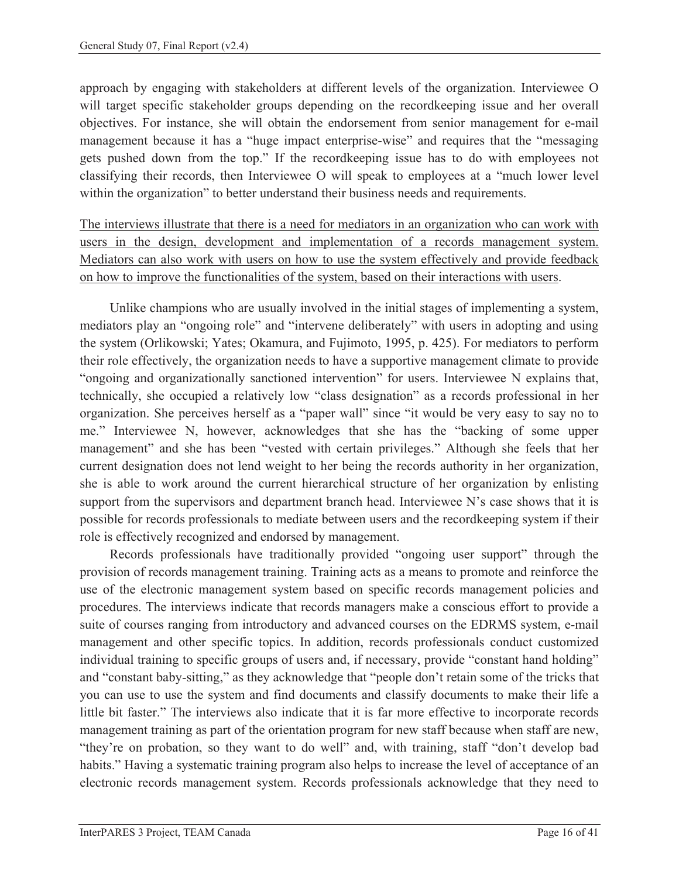approach by engaging with stakeholders at different levels of the organization. Interviewee O will target specific stakeholder groups depending on the recordkeeping issue and her overall objectives. For instance, she will obtain the endorsement from senior management for e-mail management because it has a "huge impact enterprise-wise" and requires that the "messaging gets pushed down from the top." If the recordkeeping issue has to do with employees not classifying their records, then Interviewee O will speak to employees at a "much lower level within the organization" to better understand their business needs and requirements.

The interviews illustrate that there is a need for mediators in an organization who can work with users in the design, development and implementation of a records management system. Mediators can also work with users on how to use the system effectively and provide feedback on how to improve the functionalities of the system, based on their interactions with users.

Unlike champions who are usually involved in the initial stages of implementing a system, mediators play an "ongoing role" and "intervene deliberately" with users in adopting and using the system (Orlikowski; Yates; Okamura, and Fujimoto, 1995, p. 425). For mediators to perform their role effectively, the organization needs to have a supportive management climate to provide "ongoing and organizationally sanctioned intervention" for users. Interviewee N explains that, technically, she occupied a relatively low "class designation" as a records professional in her organization. She perceives herself as a "paper wall" since "it would be very easy to say no to me." Interviewee N, however, acknowledges that she has the "backing of some upper management" and she has been "vested with certain privileges." Although she feels that her current designation does not lend weight to her being the records authority in her organization, she is able to work around the current hierarchical structure of her organization by enlisting support from the supervisors and department branch head. Interviewee N's case shows that it is possible for records professionals to mediate between users and the recordkeeping system if their role is effectively recognized and endorsed by management.

Records professionals have traditionally provided "ongoing user support" through the provision of records management training. Training acts as a means to promote and reinforce the use of the electronic management system based on specific records management policies and procedures. The interviews indicate that records managers make a conscious effort to provide a suite of courses ranging from introductory and advanced courses on the EDRMS system, e-mail management and other specific topics. In addition, records professionals conduct customized individual training to specific groups of users and, if necessary, provide "constant hand holding" and "constant baby-sitting," as they acknowledge that "people don't retain some of the tricks that you can use to use the system and find documents and classify documents to make their life a little bit faster." The interviews also indicate that it is far more effective to incorporate records management training as part of the orientation program for new staff because when staff are new, "they're on probation, so they want to do well" and, with training, staff "don't develop bad habits." Having a systematic training program also helps to increase the level of acceptance of an electronic records management system. Records professionals acknowledge that they need to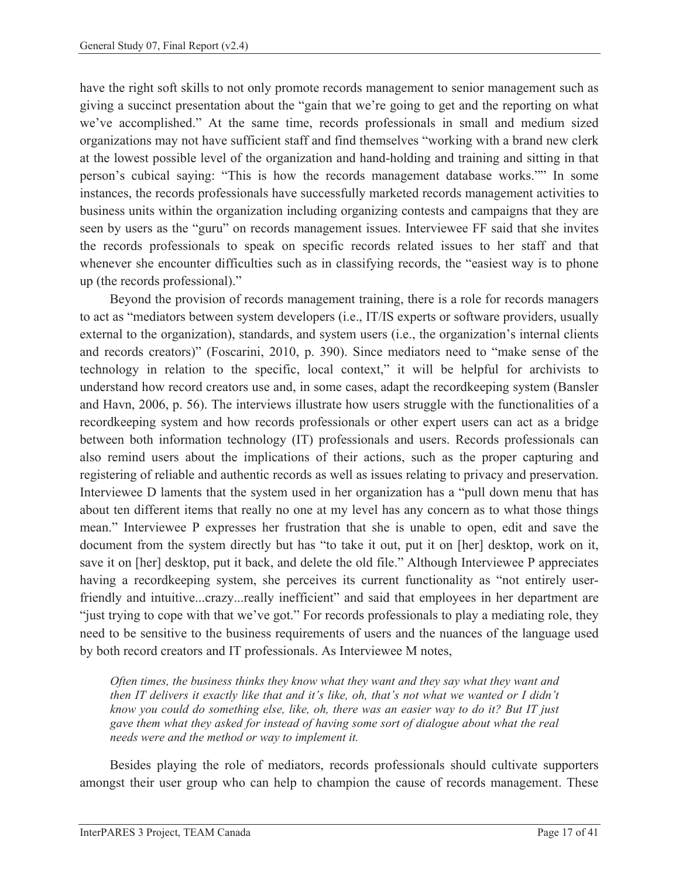have the right soft skills to not only promote records management to senior management such as giving a succinct presentation about the "gain that we're going to get and the reporting on what we've accomplished." At the same time, records professionals in small and medium sized organizations may not have sufficient staff and find themselves "working with a brand new clerk at the lowest possible level of the organization and hand-holding and training and sitting in that person's cubical saying: "This is how the records management database works."" In some instances, the records professionals have successfully marketed records management activities to business units within the organization including organizing contests and campaigns that they are seen by users as the "guru" on records management issues. Interviewee FF said that she invites the records professionals to speak on specific records related issues to her staff and that whenever she encounter difficulties such as in classifying records, the "easiest way is to phone up (the records professional)."

Beyond the provision of records management training, there is a role for records managers to act as "mediators between system developers (i.e., IT/IS experts or software providers, usually external to the organization), standards, and system users (i.e., the organization's internal clients and records creators)" (Foscarini, 2010, p. 390). Since mediators need to "make sense of the technology in relation to the specific, local context," it will be helpful for archivists to understand how record creators use and, in some cases, adapt the recordkeeping system (Bansler and Havn, 2006, p. 56). The interviews illustrate how users struggle with the functionalities of a recordkeeping system and how records professionals or other expert users can act as a bridge between both information technology (IT) professionals and users. Records professionals can also remind users about the implications of their actions, such as the proper capturing and registering of reliable and authentic records as well as issues relating to privacy and preservation. Interviewee D laments that the system used in her organization has a "pull down menu that has about ten different items that really no one at my level has any concern as to what those things mean." Interviewee P expresses her frustration that she is unable to open, edit and save the document from the system directly but has "to take it out, put it on [her] desktop, work on it, save it on [her] desktop, put it back, and delete the old file." Although Interviewee P appreciates having a recordkeeping system, she perceives its current functionality as "not entirely userfriendly and intuitive...crazy...really inefficient" and said that employees in her department are "just trying to cope with that we've got." For records professionals to play a mediating role, they need to be sensitive to the business requirements of users and the nuances of the language used by both record creators and IT professionals. As Interviewee M notes,

*Often times, the business thinks they know what they want and they say what they want and then IT delivers it exactly like that and it's like, oh, that's not what we wanted or I didn't know you could do something else, like, oh, there was an easier way to do it? But IT just gave them what they asked for instead of having some sort of dialogue about what the real needs were and the method or way to implement it.* 

Besides playing the role of mediators, records professionals should cultivate supporters amongst their user group who can help to champion the cause of records management. These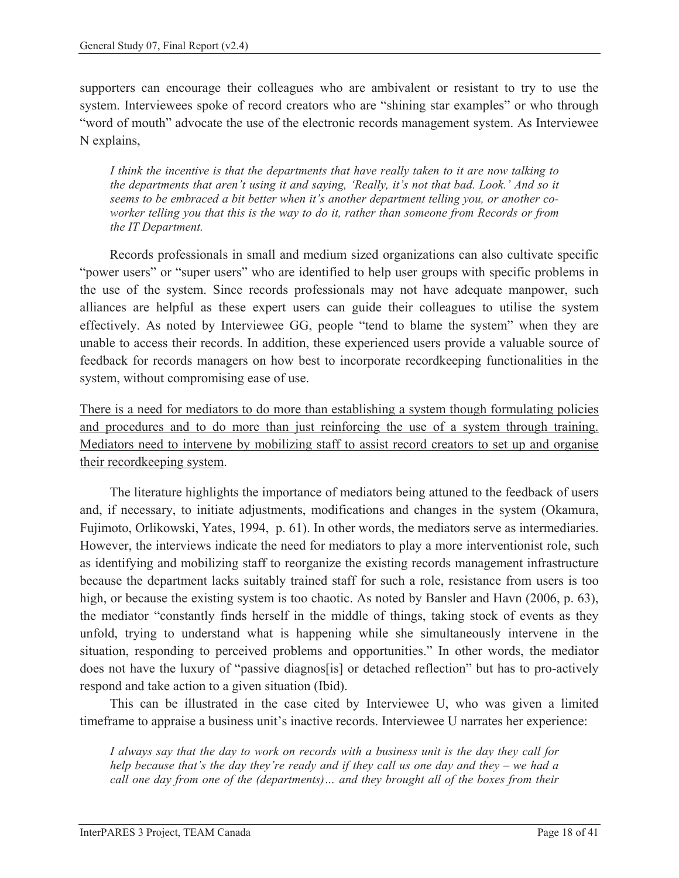supporters can encourage their colleagues who are ambivalent or resistant to try to use the system. Interviewees spoke of record creators who are "shining star examples" or who through "word of mouth" advocate the use of the electronic records management system. As Interviewee N explains,

*I think the incentive is that the departments that have really taken to it are now talking to the departments that aren't using it and saying, 'Really, it's not that bad. Look.' And so it seems to be embraced a bit better when it's another department telling you, or another coworker telling you that this is the way to do it, rather than someone from Records or from the IT Department.* 

Records professionals in small and medium sized organizations can also cultivate specific "power users" or "super users" who are identified to help user groups with specific problems in the use of the system. Since records professionals may not have adequate manpower, such alliances are helpful as these expert users can guide their colleagues to utilise the system effectively. As noted by Interviewee GG, people "tend to blame the system" when they are unable to access their records. In addition, these experienced users provide a valuable source of feedback for records managers on how best to incorporate recordkeeping functionalities in the system, without compromising ease of use.

There is a need for mediators to do more than establishing a system though formulating policies and procedures and to do more than just reinforcing the use of a system through training. Mediators need to intervene by mobilizing staff to assist record creators to set up and organise their recordkeeping system.

The literature highlights the importance of mediators being attuned to the feedback of users and, if necessary, to initiate adjustments, modifications and changes in the system (Okamura, Fujimoto, Orlikowski, Yates, 1994, p. 61). In other words, the mediators serve as intermediaries. However, the interviews indicate the need for mediators to play a more interventionist role, such as identifying and mobilizing staff to reorganize the existing records management infrastructure because the department lacks suitably trained staff for such a role, resistance from users is too high, or because the existing system is too chaotic. As noted by Bansler and Havn (2006, p. 63), the mediator "constantly finds herself in the middle of things, taking stock of events as they unfold, trying to understand what is happening while she simultaneously intervene in the situation, responding to perceived problems and opportunities." In other words, the mediator does not have the luxury of "passive diagnos[is] or detached reflection" but has to pro-actively respond and take action to a given situation (Ibid).

This can be illustrated in the case cited by Interviewee U, who was given a limited timeframe to appraise a business unit's inactive records. Interviewee U narrates her experience:

*I always say that the day to work on records with a business unit is the day they call for help because that's the day they're ready and if they call us one day and they – we had a call one day from one of the (departments)… and they brought all of the boxes from their*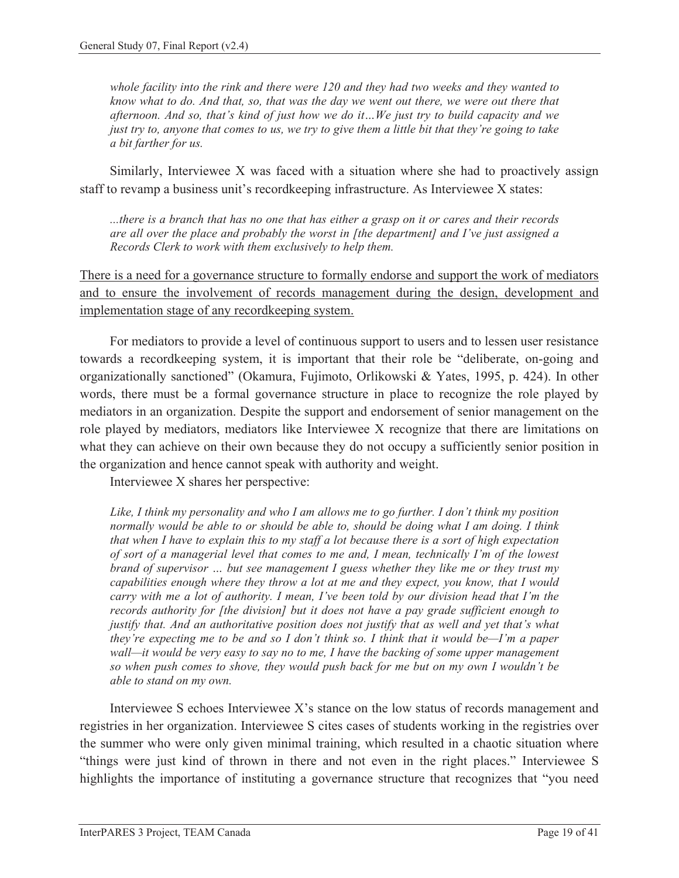*whole facility into the rink and there were 120 and they had two weeks and they wanted to know what to do. And that, so, that was the day we went out there, we were out there that afternoon. And so, that's kind of just how we do it…We just try to build capacity and we just try to, anyone that comes to us, we try to give them a little bit that they're going to take a bit farther for us.* 

Similarly, Interviewee X was faced with a situation where she had to proactively assign staff to revamp a business unit's recordkeeping infrastructure. As Interviewee X states:

*...there is a branch that has no one that has either a grasp on it or cares and their records are all over the place and probably the worst in [the department] and I've just assigned a Records Clerk to work with them exclusively to help them.* 

There is a need for a governance structure to formally endorse and support the work of mediators and to ensure the involvement of records management during the design, development and implementation stage of any recordkeeping system.

For mediators to provide a level of continuous support to users and to lessen user resistance towards a recordkeeping system, it is important that their role be "deliberate, on-going and organizationally sanctioned" (Okamura, Fujimoto, Orlikowski & Yates, 1995, p. 424). In other words, there must be a formal governance structure in place to recognize the role played by mediators in an organization. Despite the support and endorsement of senior management on the role played by mediators, mediators like Interviewee X recognize that there are limitations on what they can achieve on their own because they do not occupy a sufficiently senior position in the organization and hence cannot speak with authority and weight.

Interviewee X shares her perspective:

*Like, I think my personality and who I am allows me to go further. I don't think my position normally would be able to or should be able to, should be doing what I am doing. I think that when I have to explain this to my staff a lot because there is a sort of high expectation of sort of a managerial level that comes to me and, I mean, technically I'm of the lowest brand of supervisor … but see management I guess whether they like me or they trust my capabilities enough where they throw a lot at me and they expect, you know, that I would carry with me a lot of authority. I mean, I've been told by our division head that I'm the records authority for [the division] but it does not have a pay grade sufficient enough to justify that. And an authoritative position does not justify that as well and yet that's what they're expecting me to be and so I don't think so. I think that it would be—I'm a paper wall—it would be very easy to say no to me, I have the backing of some upper management so when push comes to shove, they would push back for me but on my own I wouldn't be able to stand on my own.* 

Interviewee S echoes Interviewee X's stance on the low status of records management and registries in her organization. Interviewee S cites cases of students working in the registries over the summer who were only given minimal training, which resulted in a chaotic situation where "things were just kind of thrown in there and not even in the right places." Interviewee S highlights the importance of instituting a governance structure that recognizes that "you need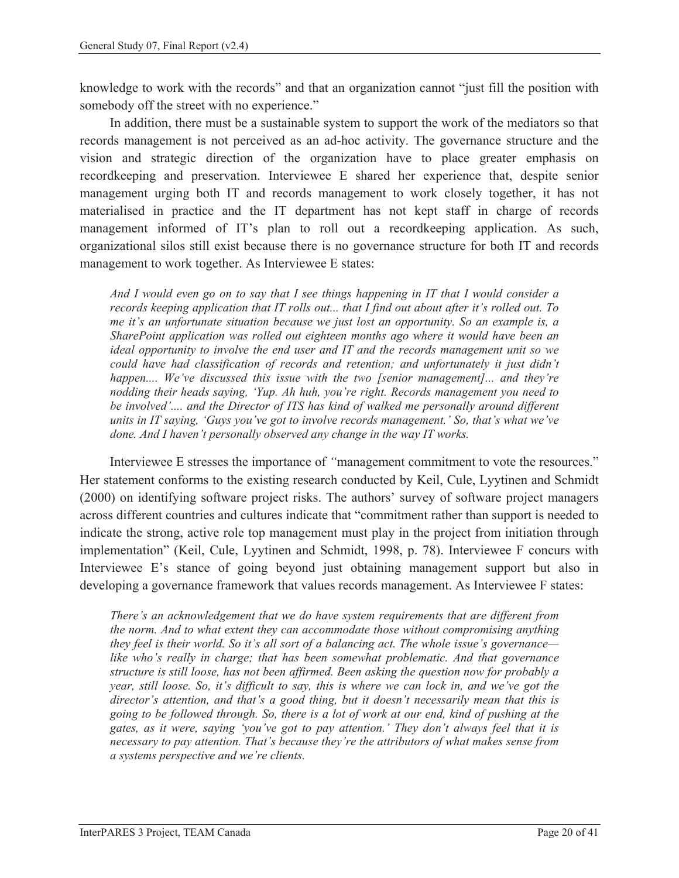knowledge to work with the records" and that an organization cannot "just fill the position with somebody off the street with no experience."

In addition, there must be a sustainable system to support the work of the mediators so that records management is not perceived as an ad-hoc activity. The governance structure and the vision and strategic direction of the organization have to place greater emphasis on recordkeeping and preservation. Interviewee E shared her experience that, despite senior management urging both IT and records management to work closely together, it has not materialised in practice and the IT department has not kept staff in charge of records management informed of IT's plan to roll out a recordkeeping application. As such, organizational silos still exist because there is no governance structure for both IT and records management to work together. As Interviewee E states:

*And I would even go on to say that I see things happening in IT that I would consider a records keeping application that IT rolls out... that I find out about after it's rolled out. To me it's an unfortunate situation because we just lost an opportunity. So an example is, a SharePoint application was rolled out eighteen months ago where it would have been an ideal opportunity to involve the end user and IT and the records management unit so we could have had classification of records and retention; and unfortunately it just didn't happen.... We've discussed this issue with the two [senior management]... and they're nodding their heads saying, 'Yup. Ah huh, you're right. Records management you need to be involved'.... and the Director of ITS has kind of walked me personally around different units in IT saying, 'Guys you've got to involve records management.' So, that's what we've done. And I haven't personally observed any change in the way IT works.* 

Interviewee E stresses the importance of *"*management commitment to vote the resources." Her statement conforms to the existing research conducted by Keil, Cule, Lyytinen and Schmidt (2000) on identifying software project risks. The authors' survey of software project managers across different countries and cultures indicate that "commitment rather than support is needed to indicate the strong, active role top management must play in the project from initiation through implementation" (Keil, Cule, Lyytinen and Schmidt, 1998, p. 78). Interviewee F concurs with Interviewee E's stance of going beyond just obtaining management support but also in developing a governance framework that values records management. As Interviewee F states:

*There's an acknowledgement that we do have system requirements that are different from the norm. And to what extent they can accommodate those without compromising anything they feel is their world. So it's all sort of a balancing act. The whole issue's governance like who's really in charge; that has been somewhat problematic. And that governance structure is still loose, has not been affirmed. Been asking the question now for probably a year, still loose. So, it's difficult to say, this is where we can lock in, and we've got the director's attention, and that's a good thing, but it doesn't necessarily mean that this is going to be followed through. So, there is a lot of work at our end, kind of pushing at the gates, as it were, saying 'you've got to pay attention.' They don't always feel that it is necessary to pay attention. That's because they're the attributors of what makes sense from a systems perspective and we're clients.*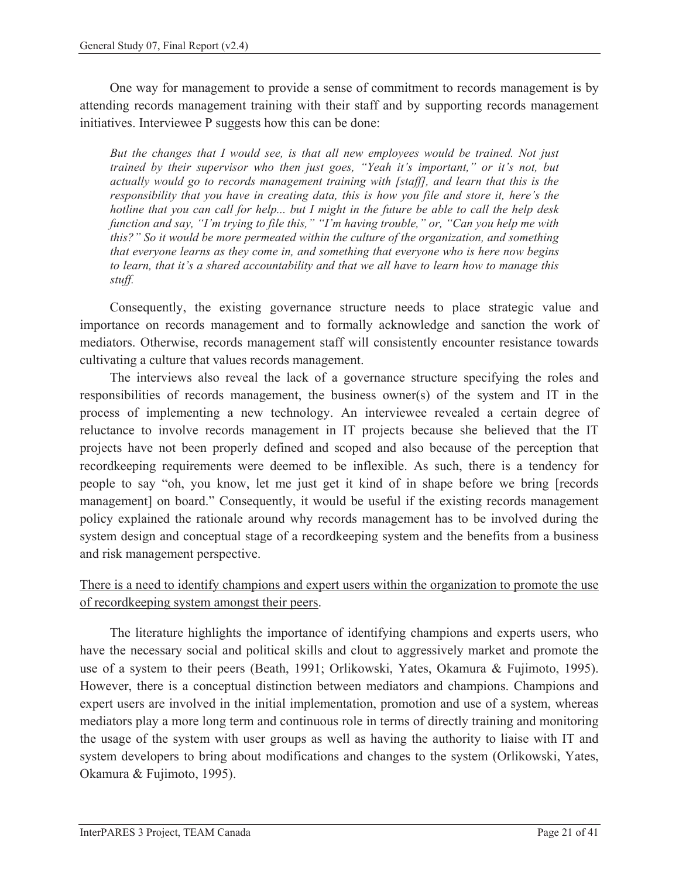One way for management to provide a sense of commitment to records management is by attending records management training with their staff and by supporting records management initiatives. Interviewee P suggests how this can be done:

*But the changes that I would see, is that all new employees would be trained. Not just trained by their supervisor who then just goes, "Yeah it's important," or it's not, but actually would go to records management training with [staff], and learn that this is the responsibility that you have in creating data, this is how you file and store it, here's the hotline that you can call for help... but I might in the future be able to call the help desk function and say, "I'm trying to file this," "I'm having trouble," or, "Can you help me with this?" So it would be more permeated within the culture of the organization, and something that everyone learns as they come in, and something that everyone who is here now begins to learn, that it's a shared accountability and that we all have to learn how to manage this stuff.* 

Consequently, the existing governance structure needs to place strategic value and importance on records management and to formally acknowledge and sanction the work of mediators. Otherwise, records management staff will consistently encounter resistance towards cultivating a culture that values records management.

The interviews also reveal the lack of a governance structure specifying the roles and responsibilities of records management, the business owner(s) of the system and IT in the process of implementing a new technology. An interviewee revealed a certain degree of reluctance to involve records management in IT projects because she believed that the IT projects have not been properly defined and scoped and also because of the perception that recordkeeping requirements were deemed to be inflexible. As such, there is a tendency for people to say "oh, you know, let me just get it kind of in shape before we bring [records management] on board." Consequently, it would be useful if the existing records management policy explained the rationale around why records management has to be involved during the system design and conceptual stage of a recordkeeping system and the benefits from a business and risk management perspective.

#### There is a need to identify champions and expert users within the organization to promote the use of recordkeeping system amongst their peers.

The literature highlights the importance of identifying champions and experts users, who have the necessary social and political skills and clout to aggressively market and promote the use of a system to their peers (Beath, 1991; Orlikowski, Yates, Okamura & Fujimoto, 1995). However, there is a conceptual distinction between mediators and champions. Champions and expert users are involved in the initial implementation, promotion and use of a system, whereas mediators play a more long term and continuous role in terms of directly training and monitoring the usage of the system with user groups as well as having the authority to liaise with IT and system developers to bring about modifications and changes to the system (Orlikowski, Yates, Okamura & Fujimoto, 1995).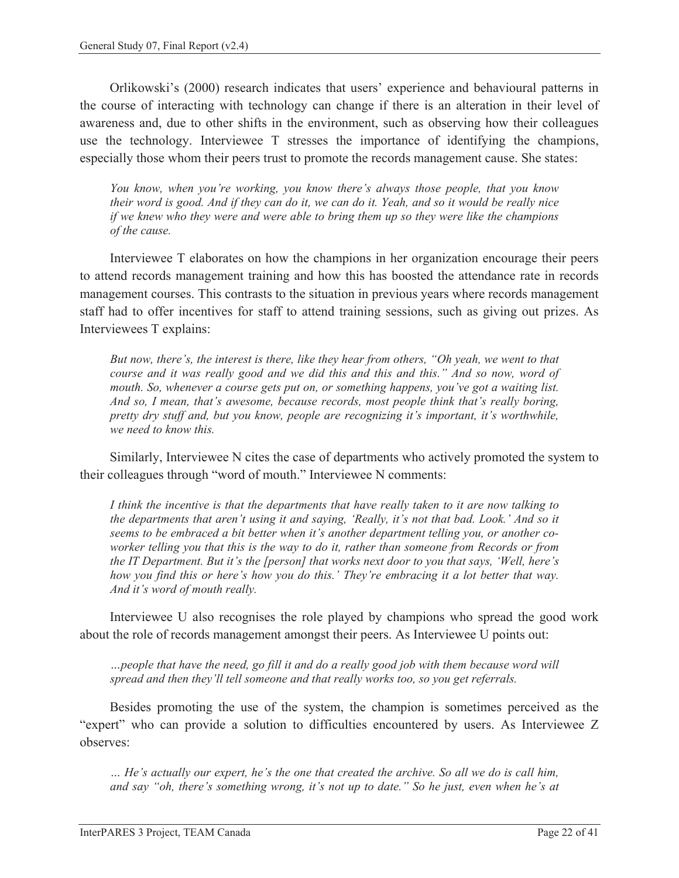Orlikowski's (2000) research indicates that users' experience and behavioural patterns in the course of interacting with technology can change if there is an alteration in their level of awareness and, due to other shifts in the environment, such as observing how their colleagues use the technology. Interviewee T stresses the importance of identifying the champions, especially those whom their peers trust to promote the records management cause. She states:

*You know, when you're working, you know there's always those people, that you know their word is good. And if they can do it, we can do it. Yeah, and so it would be really nice if we knew who they were and were able to bring them up so they were like the champions of the cause.* 

Interviewee T elaborates on how the champions in her organization encourage their peers to attend records management training and how this has boosted the attendance rate in records management courses. This contrasts to the situation in previous years where records management staff had to offer incentives for staff to attend training sessions, such as giving out prizes. As Interviewees T explains:

*But now, there's, the interest is there, like they hear from others, "Oh yeah, we went to that course and it was really good and we did this and this and this." And so now, word of mouth. So, whenever a course gets put on, or something happens, you've got a waiting list. And so, I mean, that's awesome, because records, most people think that's really boring, pretty dry stuff and, but you know, people are recognizing it's important, it's worthwhile, we need to know this.* 

Similarly, Interviewee N cites the case of departments who actively promoted the system to their colleagues through "word of mouth." Interviewee N comments:

*I think the incentive is that the departments that have really taken to it are now talking to the departments that aren't using it and saying, 'Really, it's not that bad. Look.' And so it seems to be embraced a bit better when it's another department telling you, or another coworker telling you that this is the way to do it, rather than someone from Records or from the IT Department. But it's the [person] that works next door to you that says, 'Well, here's how you find this or here's how you do this.' They're embracing it a lot better that way. And it's word of mouth really.* 

Interviewee U also recognises the role played by champions who spread the good work about the role of records management amongst their peers. As Interviewee U points out:

*…people that have the need, go fill it and do a really good job with them because word will spread and then they'll tell someone and that really works too, so you get referrals.* 

Besides promoting the use of the system, the champion is sometimes perceived as the "expert" who can provide a solution to difficulties encountered by users. As Interviewee Z observes:

*… He's actually our expert, he's the one that created the archive. So all we do is call him, and say "oh, there's something wrong, it's not up to date." So he just, even when he's at*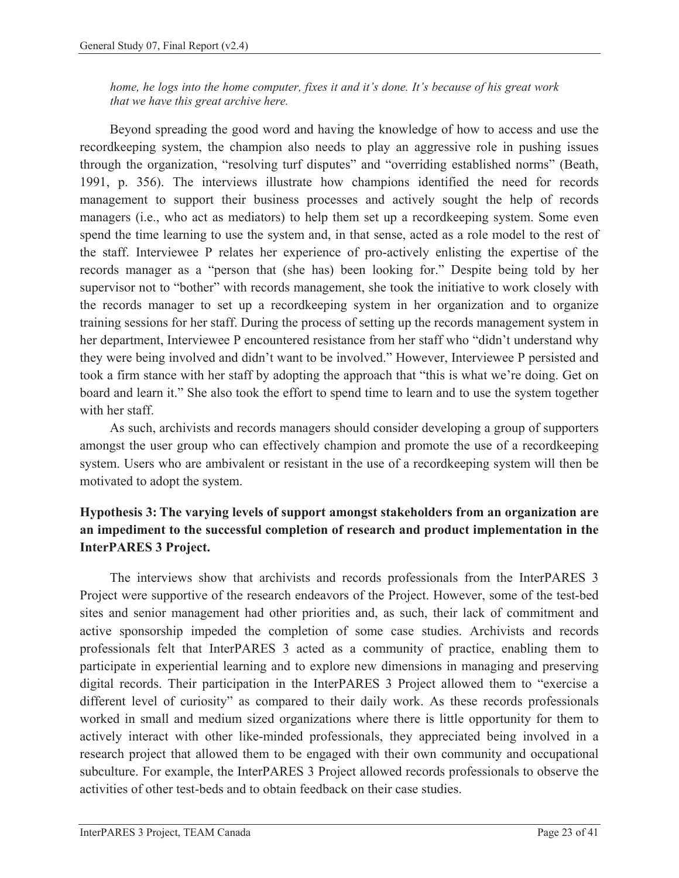*home, he logs into the home computer, fixes it and it's done. It's because of his great work that we have this great archive here.* 

Beyond spreading the good word and having the knowledge of how to access and use the recordkeeping system, the champion also needs to play an aggressive role in pushing issues through the organization, "resolving turf disputes" and "overriding established norms" (Beath, 1991, p. 356). The interviews illustrate how champions identified the need for records management to support their business processes and actively sought the help of records managers (i.e., who act as mediators) to help them set up a recordkeeping system. Some even spend the time learning to use the system and, in that sense, acted as a role model to the rest of the staff. Interviewee P relates her experience of pro-actively enlisting the expertise of the records manager as a "person that (she has) been looking for." Despite being told by her supervisor not to "bother" with records management, she took the initiative to work closely with the records manager to set up a recordkeeping system in her organization and to organize training sessions for her staff. During the process of setting up the records management system in her department, Interviewee P encountered resistance from her staff who "didn't understand why they were being involved and didn't want to be involved." However, Interviewee P persisted and took a firm stance with her staff by adopting the approach that "this is what we're doing. Get on board and learn it." She also took the effort to spend time to learn and to use the system together with her staff.

As such, archivists and records managers should consider developing a group of supporters amongst the user group who can effectively champion and promote the use of a recordkeeping system. Users who are ambivalent or resistant in the use of a recordkeeping system will then be motivated to adopt the system.

### **Hypothesis 3: The varying levels of support amongst stakeholders from an organization are an impediment to the successful completion of research and product implementation in the InterPARES 3 Project.**

The interviews show that archivists and records professionals from the InterPARES 3 Project were supportive of the research endeavors of the Project. However, some of the test-bed sites and senior management had other priorities and, as such, their lack of commitment and active sponsorship impeded the completion of some case studies. Archivists and records professionals felt that InterPARES 3 acted as a community of practice, enabling them to participate in experiential learning and to explore new dimensions in managing and preserving digital records. Their participation in the InterPARES 3 Project allowed them to "exercise a different level of curiosity" as compared to their daily work. As these records professionals worked in small and medium sized organizations where there is little opportunity for them to actively interact with other like-minded professionals, they appreciated being involved in a research project that allowed them to be engaged with their own community and occupational subculture. For example, the InterPARES 3 Project allowed records professionals to observe the activities of other test-beds and to obtain feedback on their case studies.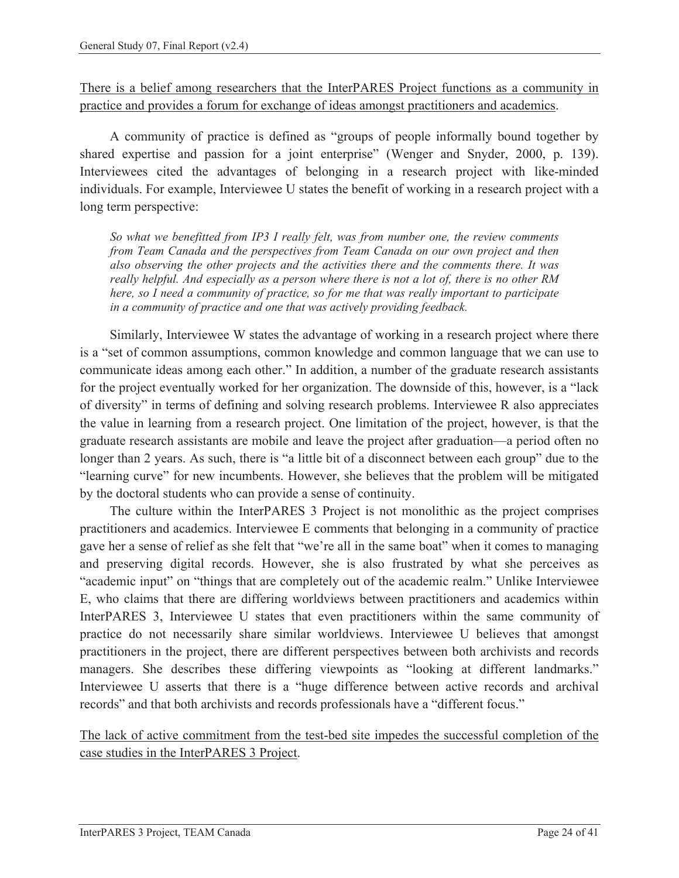There is a belief among researchers that the InterPARES Project functions as a community in practice and provides a forum for exchange of ideas amongst practitioners and academics.

A community of practice is defined as "groups of people informally bound together by shared expertise and passion for a joint enterprise" (Wenger and Snyder, 2000, p. 139). Interviewees cited the advantages of belonging in a research project with like-minded individuals. For example, Interviewee U states the benefit of working in a research project with a long term perspective:

*So what we benefitted from IP3 I really felt, was from number one, the review comments from Team Canada and the perspectives from Team Canada on our own project and then also observing the other projects and the activities there and the comments there. It was really helpful. And especially as a person where there is not a lot of, there is no other RM here, so I need a community of practice, so for me that was really important to participate in a community of practice and one that was actively providing feedback.* 

Similarly, Interviewee W states the advantage of working in a research project where there is a "set of common assumptions, common knowledge and common language that we can use to communicate ideas among each other." In addition, a number of the graduate research assistants for the project eventually worked for her organization. The downside of this, however, is a "lack of diversity" in terms of defining and solving research problems. Interviewee R also appreciates the value in learning from a research project. One limitation of the project, however, is that the graduate research assistants are mobile and leave the project after graduation—a period often no longer than 2 years. As such, there is "a little bit of a disconnect between each group" due to the "learning curve" for new incumbents. However, she believes that the problem will be mitigated by the doctoral students who can provide a sense of continuity.

The culture within the InterPARES 3 Project is not monolithic as the project comprises practitioners and academics. Interviewee E comments that belonging in a community of practice gave her a sense of relief as she felt that "we're all in the same boat" when it comes to managing and preserving digital records. However, she is also frustrated by what she perceives as "academic input" on "things that are completely out of the academic realm." Unlike Interviewee E, who claims that there are differing worldviews between practitioners and academics within InterPARES 3, Interviewee U states that even practitioners within the same community of practice do not necessarily share similar worldviews. Interviewee U believes that amongst practitioners in the project, there are different perspectives between both archivists and records managers. She describes these differing viewpoints as "looking at different landmarks." Interviewee U asserts that there is a "huge difference between active records and archival records" and that both archivists and records professionals have a "different focus."

The lack of active commitment from the test-bed site impedes the successful completion of the case studies in the InterPARES 3 Project.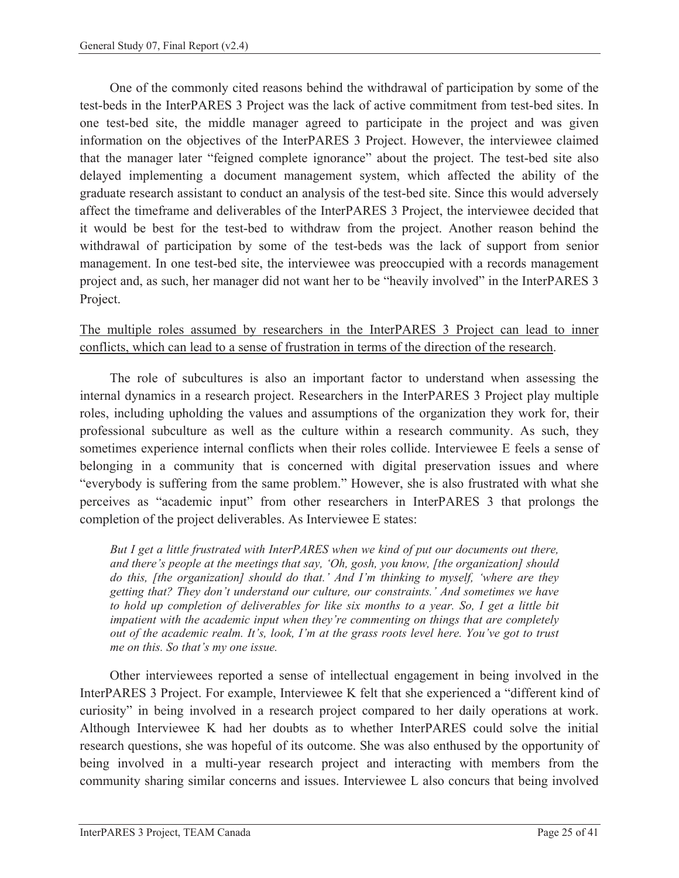One of the commonly cited reasons behind the withdrawal of participation by some of the test-beds in the InterPARES 3 Project was the lack of active commitment from test-bed sites. In one test-bed site, the middle manager agreed to participate in the project and was given information on the objectives of the InterPARES 3 Project. However, the interviewee claimed that the manager later "feigned complete ignorance" about the project. The test-bed site also delayed implementing a document management system, which affected the ability of the graduate research assistant to conduct an analysis of the test-bed site. Since this would adversely affect the timeframe and deliverables of the InterPARES 3 Project, the interviewee decided that it would be best for the test-bed to withdraw from the project. Another reason behind the withdrawal of participation by some of the test-beds was the lack of support from senior management. In one test-bed site, the interviewee was preoccupied with a records management project and, as such, her manager did not want her to be "heavily involved" in the InterPARES 3 Project.

#### The multiple roles assumed by researchers in the InterPARES 3 Project can lead to inner conflicts, which can lead to a sense of frustration in terms of the direction of the research.

The role of subcultures is also an important factor to understand when assessing the internal dynamics in a research project. Researchers in the InterPARES 3 Project play multiple roles, including upholding the values and assumptions of the organization they work for, their professional subculture as well as the culture within a research community. As such, they sometimes experience internal conflicts when their roles collide. Interviewee E feels a sense of belonging in a community that is concerned with digital preservation issues and where "everybody is suffering from the same problem." However, she is also frustrated with what she perceives as "academic input" from other researchers in InterPARES 3 that prolongs the completion of the project deliverables. As Interviewee E states:

*But I get a little frustrated with InterPARES when we kind of put our documents out there, and there's people at the meetings that say, 'Oh, gosh, you know, [the organization] should do this, [the organization] should do that.' And I'm thinking to myself, 'where are they getting that? They don't understand our culture, our constraints.' And sometimes we have to hold up completion of deliverables for like six months to a year. So, I get a little bit impatient with the academic input when they're commenting on things that are completely out of the academic realm. It's, look, I'm at the grass roots level here. You've got to trust me on this. So that's my one issue.* 

Other interviewees reported a sense of intellectual engagement in being involved in the InterPARES 3 Project. For example, Interviewee K felt that she experienced a "different kind of curiosity" in being involved in a research project compared to her daily operations at work. Although Interviewee K had her doubts as to whether InterPARES could solve the initial research questions, she was hopeful of its outcome. She was also enthused by the opportunity of being involved in a multi-year research project and interacting with members from the community sharing similar concerns and issues. Interviewee L also concurs that being involved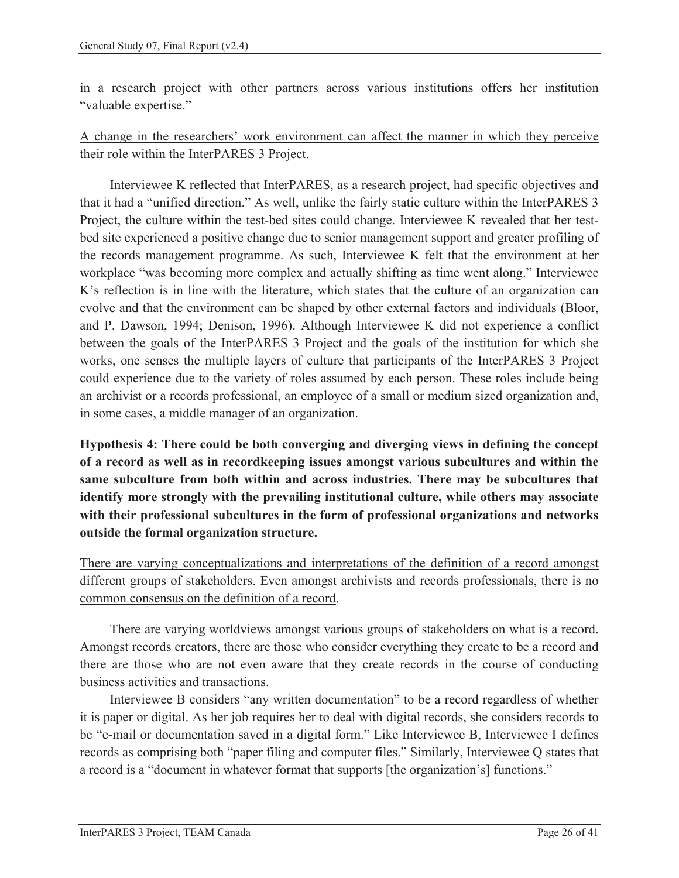in a research project with other partners across various institutions offers her institution "valuable expertise."

#### A change in the researchers' work environment can affect the manner in which they perceive their role within the InterPARES 3 Project.

Interviewee K reflected that InterPARES, as a research project, had specific objectives and that it had a "unified direction." As well, unlike the fairly static culture within the InterPARES 3 Project, the culture within the test-bed sites could change. Interviewee K revealed that her testbed site experienced a positive change due to senior management support and greater profiling of the records management programme. As such, Interviewee K felt that the environment at her workplace "was becoming more complex and actually shifting as time went along." Interviewee K's reflection is in line with the literature, which states that the culture of an organization can evolve and that the environment can be shaped by other external factors and individuals (Bloor, and P. Dawson, 1994; Denison, 1996). Although Interviewee K did not experience a conflict between the goals of the InterPARES 3 Project and the goals of the institution for which she works, one senses the multiple layers of culture that participants of the InterPARES 3 Project could experience due to the variety of roles assumed by each person. These roles include being an archivist or a records professional, an employee of a small or medium sized organization and, in some cases, a middle manager of an organization.

**Hypothesis 4: There could be both converging and diverging views in defining the concept of a record as well as in recordkeeping issues amongst various subcultures and within the same subculture from both within and across industries. There may be subcultures that identify more strongly with the prevailing institutional culture, while others may associate with their professional subcultures in the form of professional organizations and networks outside the formal organization structure.** 

There are varying conceptualizations and interpretations of the definition of a record amongst different groups of stakeholders. Even amongst archivists and records professionals, there is no common consensus on the definition of a record.

There are varying worldviews amongst various groups of stakeholders on what is a record. Amongst records creators, there are those who consider everything they create to be a record and there are those who are not even aware that they create records in the course of conducting business activities and transactions.

Interviewee B considers "any written documentation" to be a record regardless of whether it is paper or digital. As her job requires her to deal with digital records, she considers records to be "e-mail or documentation saved in a digital form." Like Interviewee B, Interviewee I defines records as comprising both "paper filing and computer files." Similarly, Interviewee Q states that a record is a "document in whatever format that supports [the organization's] functions."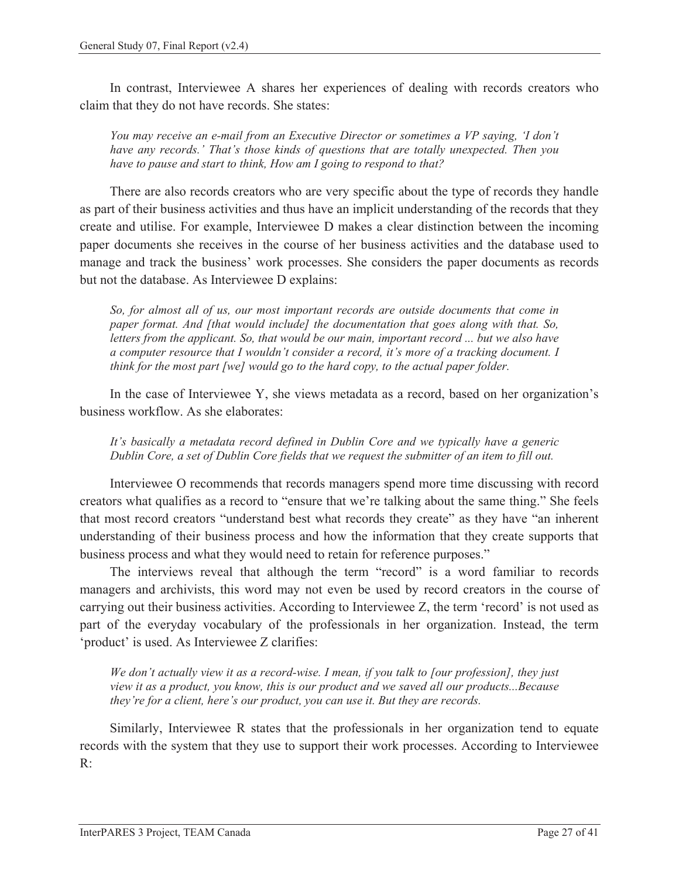In contrast, Interviewee A shares her experiences of dealing with records creators who claim that they do not have records. She states:

*You may receive an e-mail from an Executive Director or sometimes a VP saying, 'I don't have any records.' That's those kinds of questions that are totally unexpected. Then you have to pause and start to think, How am I going to respond to that?* 

There are also records creators who are very specific about the type of records they handle as part of their business activities and thus have an implicit understanding of the records that they create and utilise. For example, Interviewee D makes a clear distinction between the incoming paper documents she receives in the course of her business activities and the database used to manage and track the business' work processes. She considers the paper documents as records but not the database. As Interviewee D explains:

*So, for almost all of us, our most important records are outside documents that come in paper format. And [that would include] the documentation that goes along with that. So, letters from the applicant. So, that would be our main, important record ... but we also have a computer resource that I wouldn't consider a record, it's more of a tracking document. I think for the most part [we] would go to the hard copy, to the actual paper folder.* 

In the case of Interviewee Y, she views metadata as a record, based on her organization's business workflow. As she elaborates:

*It's basically a metadata record defined in Dublin Core and we typically have a generic Dublin Core, a set of Dublin Core fields that we request the submitter of an item to fill out.* 

Interviewee O recommends that records managers spend more time discussing with record creators what qualifies as a record to "ensure that we're talking about the same thing." She feels that most record creators "understand best what records they create" as they have "an inherent understanding of their business process and how the information that they create supports that business process and what they would need to retain for reference purposes."

The interviews reveal that although the term "record" is a word familiar to records managers and archivists, this word may not even be used by record creators in the course of carrying out their business activities. According to Interviewee Z, the term 'record' is not used as part of the everyday vocabulary of the professionals in her organization. Instead, the term 'product' is used. As Interviewee Z clarifies:

*We don't actually view it as a record-wise. I mean, if you talk to [our profession], they just view it as a product, you know, this is our product and we saved all our products...Because they're for a client, here's our product, you can use it. But they are records.* 

Similarly, Interviewee R states that the professionals in her organization tend to equate records with the system that they use to support their work processes. According to Interviewee R: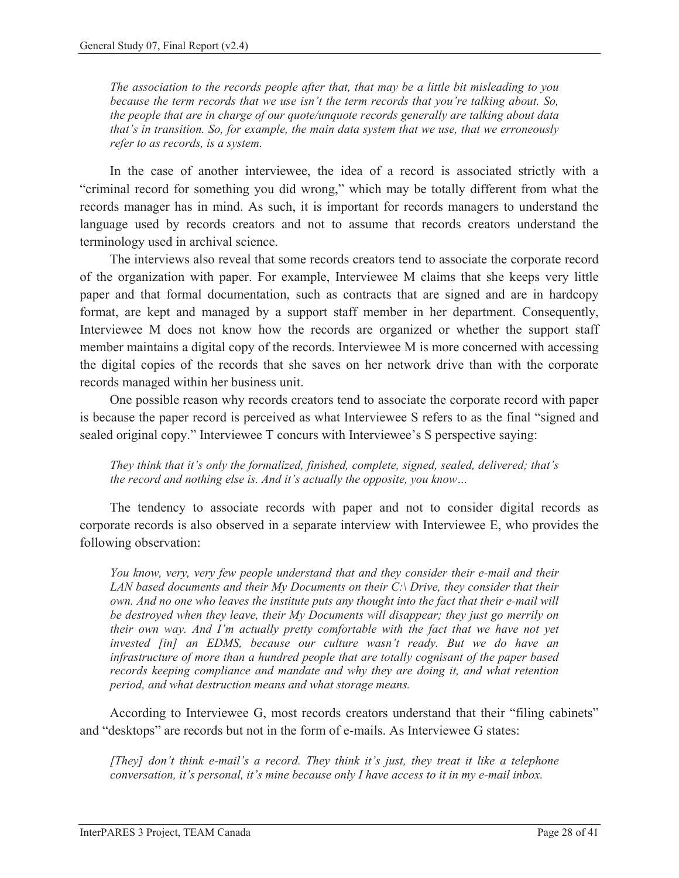*The association to the records people after that, that may be a little bit misleading to you because the term records that we use isn't the term records that you're talking about. So, the people that are in charge of our quote/unquote records generally are talking about data that's in transition. So, for example, the main data system that we use, that we erroneously refer to as records, is a system.* 

In the case of another interviewee, the idea of a record is associated strictly with a "criminal record for something you did wrong," which may be totally different from what the records manager has in mind. As such, it is important for records managers to understand the language used by records creators and not to assume that records creators understand the terminology used in archival science.

The interviews also reveal that some records creators tend to associate the corporate record of the organization with paper. For example, Interviewee M claims that she keeps very little paper and that formal documentation, such as contracts that are signed and are in hardcopy format, are kept and managed by a support staff member in her department. Consequently, Interviewee M does not know how the records are organized or whether the support staff member maintains a digital copy of the records. Interviewee M is more concerned with accessing the digital copies of the records that she saves on her network drive than with the corporate records managed within her business unit.

One possible reason why records creators tend to associate the corporate record with paper is because the paper record is perceived as what Interviewee S refers to as the final "signed and sealed original copy." Interviewee T concurs with Interviewee's S perspective saying:

*They think that it's only the formalized, finished, complete, signed, sealed, delivered; that's the record and nothing else is. And it's actually the opposite, you know…* 

The tendency to associate records with paper and not to consider digital records as corporate records is also observed in a separate interview with Interviewee E, who provides the following observation:

*You know, very, very few people understand that and they consider their e-mail and their LAN based documents and their My Documents on their C:\ Drive, they consider that their own. And no one who leaves the institute puts any thought into the fact that their e-mail will be destroyed when they leave, their My Documents will disappear; they just go merrily on their own way. And I'm actually pretty comfortable with the fact that we have not yet invested [in] an EDMS, because our culture wasn't ready. But we do have an infrastructure of more than a hundred people that are totally cognisant of the paper based records keeping compliance and mandate and why they are doing it, and what retention period, and what destruction means and what storage means.* 

According to Interviewee G, most records creators understand that their "filing cabinets" and "desktops" are records but not in the form of e-mails. As Interviewee G states:

*[They] don't think e-mail's a record. They think it's just, they treat it like a telephone conversation, it's personal, it's mine because only I have access to it in my e-mail inbox.*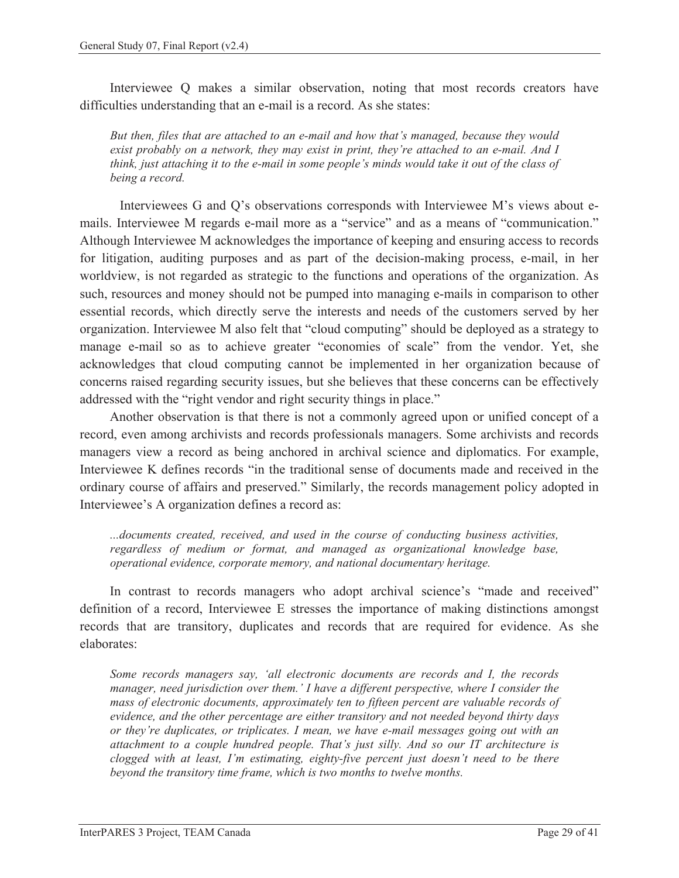Interviewee Q makes a similar observation, noting that most records creators have difficulties understanding that an e-mail is a record. As she states:

*But then, files that are attached to an e-mail and how that's managed, because they would exist probably on a network, they may exist in print, they're attached to an e-mail. And I think, just attaching it to the e-mail in some people's minds would take it out of the class of being a record.* 

Interviewees G and Q's observations corresponds with Interviewee M's views about emails. Interviewee M regards e-mail more as a "service" and as a means of "communication." Although Interviewee M acknowledges the importance of keeping and ensuring access to records for litigation, auditing purposes and as part of the decision-making process, e-mail, in her worldview, is not regarded as strategic to the functions and operations of the organization. As such, resources and money should not be pumped into managing e-mails in comparison to other essential records, which directly serve the interests and needs of the customers served by her organization. Interviewee M also felt that "cloud computing" should be deployed as a strategy to manage e-mail so as to achieve greater "economies of scale" from the vendor. Yet, she acknowledges that cloud computing cannot be implemented in her organization because of concerns raised regarding security issues, but she believes that these concerns can be effectively addressed with the "right vendor and right security things in place."

Another observation is that there is not a commonly agreed upon or unified concept of a record, even among archivists and records professionals managers. Some archivists and records managers view a record as being anchored in archival science and diplomatics. For example, Interviewee K defines records "in the traditional sense of documents made and received in the ordinary course of affairs and preserved." Similarly, the records management policy adopted in Interviewee's A organization defines a record as:

*...documents created, received, and used in the course of conducting business activities, regardless of medium or format, and managed as organizational knowledge base, operational evidence, corporate memory, and national documentary heritage.* 

In contrast to records managers who adopt archival science's "made and received" definition of a record, Interviewee E stresses the importance of making distinctions amongst records that are transitory, duplicates and records that are required for evidence. As she elaborates:

*Some records managers say, 'all electronic documents are records and I, the records manager, need jurisdiction over them.' I have a different perspective, where I consider the mass of electronic documents, approximately ten to fifteen percent are valuable records of evidence, and the other percentage are either transitory and not needed beyond thirty days or they're duplicates, or triplicates. I mean, we have e-mail messages going out with an attachment to a couple hundred people. That's just silly. And so our IT architecture is clogged with at least, I'm estimating, eighty-five percent just doesn't need to be there beyond the transitory time frame, which is two months to twelve months.*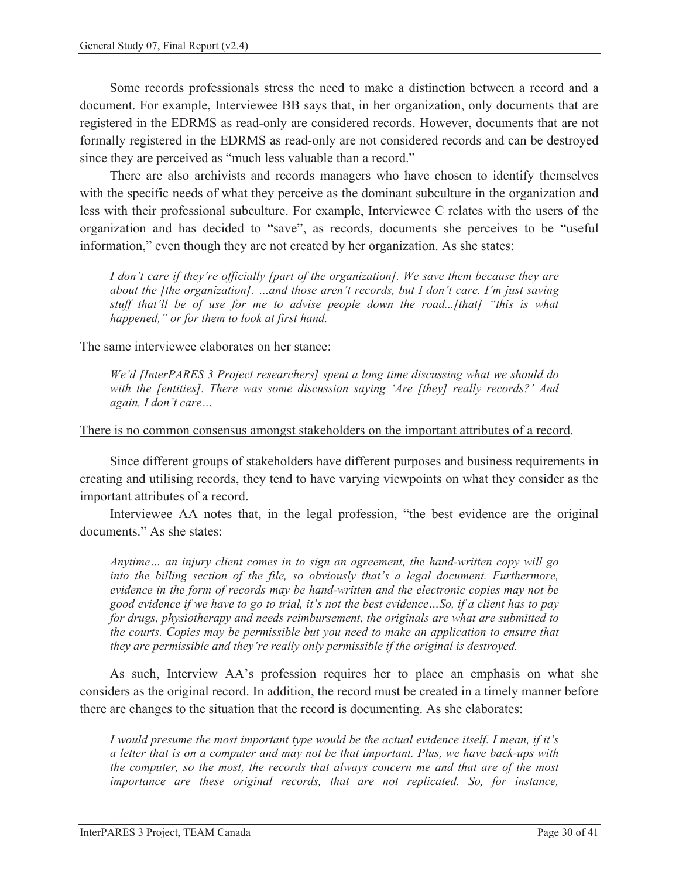Some records professionals stress the need to make a distinction between a record and a document. For example, Interviewee BB says that, in her organization, only documents that are registered in the EDRMS as read-only are considered records. However, documents that are not formally registered in the EDRMS as read-only are not considered records and can be destroyed since they are perceived as "much less valuable than a record."

There are also archivists and records managers who have chosen to identify themselves with the specific needs of what they perceive as the dominant subculture in the organization and less with their professional subculture. For example, Interviewee C relates with the users of the organization and has decided to "save", as records, documents she perceives to be "useful information," even though they are not created by her organization. As she states:

*I don't care if they're officially [part of the organization]. We save them because they are about the [the organization]. …and those aren't records, but I don't care. I'm just saving stuff that'll be of use for me to advise people down the road...[that] "this is what happened," or for them to look at first hand.* 

The same interviewee elaborates on her stance:

*We'd [InterPARES 3 Project researchers] spent a long time discussing what we should do with the [entities]. There was some discussion saying 'Are [they] really records?' And again, I don't care…* 

#### There is no common consensus amongst stakeholders on the important attributes of a record.

Since different groups of stakeholders have different purposes and business requirements in creating and utilising records, they tend to have varying viewpoints on what they consider as the important attributes of a record.

Interviewee AA notes that, in the legal profession, "the best evidence are the original documents." As she states:

*Anytime… an injury client comes in to sign an agreement, the hand-written copy will go into the billing section of the file, so obviously that's a legal document. Furthermore, evidence in the form of records may be hand-written and the electronic copies may not be good evidence if we have to go to trial, it's not the best evidence…So, if a client has to pay for drugs, physiotherapy and needs reimbursement, the originals are what are submitted to the courts. Copies may be permissible but you need to make an application to ensure that they are permissible and they're really only permissible if the original is destroyed.* 

As such, Interview AA's profession requires her to place an emphasis on what she considers as the original record. In addition, the record must be created in a timely manner before there are changes to the situation that the record is documenting. As she elaborates:

*I would presume the most important type would be the actual evidence itself. I mean, if it's a letter that is on a computer and may not be that important. Plus, we have back-ups with the computer, so the most, the records that always concern me and that are of the most importance are these original records, that are not replicated. So, for instance,*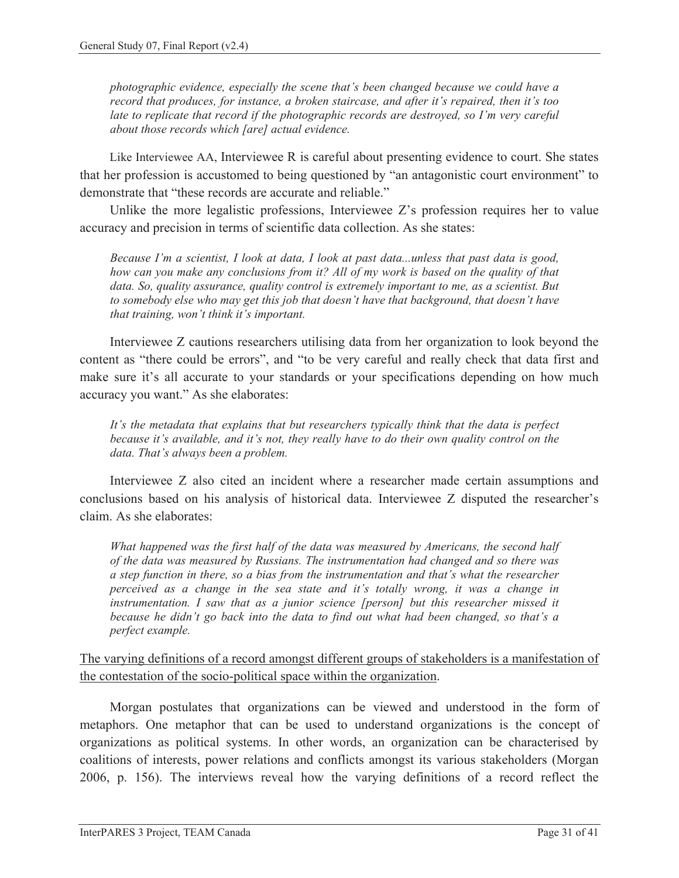*photographic evidence, especially the scene that's been changed because we could have a record that produces, for instance, a broken staircase, and after it's repaired, then it's too late to replicate that record if the photographic records are destroyed, so I'm very careful about those records which [are] actual evidence.* 

Like Interviewee AA, Interviewee R is careful about presenting evidence to court. She states that her profession is accustomed to being questioned by "an antagonistic court environment" to demonstrate that "these records are accurate and reliable."

Unlike the more legalistic professions, Interviewee Z's profession requires her to value accuracy and precision in terms of scientific data collection. As she states:

*Because I'm a scientist, I look at data, I look at past data...unless that past data is good, how can you make any conclusions from it? All of my work is based on the quality of that data. So, quality assurance, quality control is extremely important to me, as a scientist. But to somebody else who may get this job that doesn't have that background, that doesn't have that training, won't think it's important.* 

Interviewee Z cautions researchers utilising data from her organization to look beyond the content as "there could be errors", and "to be very careful and really check that data first and make sure it's all accurate to your standards or your specifications depending on how much accuracy you want." As she elaborates:

*It's the metadata that explains that but researchers typically think that the data is perfect because it's available, and it's not, they really have to do their own quality control on the data. That's always been a problem.* 

Interviewee Z also cited an incident where a researcher made certain assumptions and conclusions based on his analysis of historical data. Interviewee Z disputed the researcher's claim. As she elaborates:

*What happened was the first half of the data was measured by Americans, the second half of the data was measured by Russians. The instrumentation had changed and so there was a step function in there, so a bias from the instrumentation and that's what the researcher perceived as a change in the sea state and it's totally wrong, it was a change in instrumentation. I saw that as a junior science [person] but this researcher missed it because he didn't go back into the data to find out what had been changed, so that's a perfect example.* 

The varying definitions of a record amongst different groups of stakeholders is a manifestation of the contestation of the socio-political space within the organization.

Morgan postulates that organizations can be viewed and understood in the form of metaphors. One metaphor that can be used to understand organizations is the concept of organizations as political systems. In other words, an organization can be characterised by coalitions of interests, power relations and conflicts amongst its various stakeholders (Morgan 2006, p. 156). The interviews reveal how the varying definitions of a record reflect the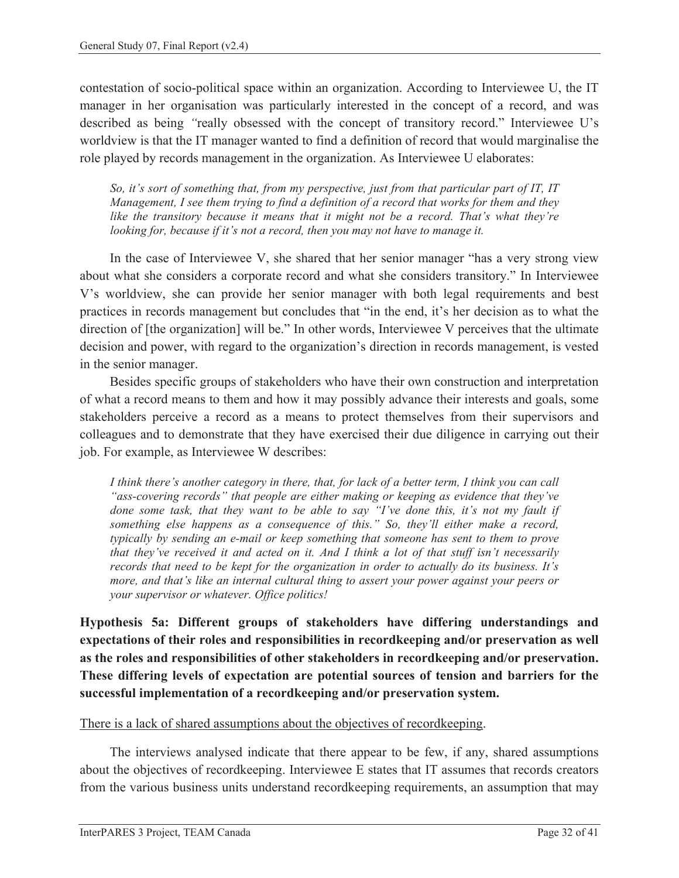contestation of socio-political space within an organization. According to Interviewee U, the IT manager in her organisation was particularly interested in the concept of a record, and was described as being *"*really obsessed with the concept of transitory record." Interviewee U's worldview is that the IT manager wanted to find a definition of record that would marginalise the role played by records management in the organization. As Interviewee U elaborates:

*So, it's sort of something that, from my perspective, just from that particular part of IT, IT Management, I see them trying to find a definition of a record that works for them and they like the transitory because it means that it might not be a record. That's what they're looking for, because if it's not a record, then you may not have to manage it.* 

In the case of Interviewee V, she shared that her senior manager "has a very strong view about what she considers a corporate record and what she considers transitory." In Interviewee V's worldview, she can provide her senior manager with both legal requirements and best practices in records management but concludes that "in the end, it's her decision as to what the direction of [the organization] will be." In other words, Interviewee V perceives that the ultimate decision and power, with regard to the organization's direction in records management, is vested in the senior manager.

Besides specific groups of stakeholders who have their own construction and interpretation of what a record means to them and how it may possibly advance their interests and goals, some stakeholders perceive a record as a means to protect themselves from their supervisors and colleagues and to demonstrate that they have exercised their due diligence in carrying out their job. For example, as Interviewee W describes:

*I think there's another category in there, that, for lack of a better term, I think you can call "ass-covering records" that people are either making or keeping as evidence that they've*  done some task, that they want to be able to say "I've done this, it's not my fault if *something else happens as a consequence of this." So, they'll either make a record, typically by sending an e-mail or keep something that someone has sent to them to prove that they've received it and acted on it. And I think a lot of that stuff isn't necessarily records that need to be kept for the organization in order to actually do its business. It's more, and that's like an internal cultural thing to assert your power against your peers or your supervisor or whatever. Office politics!* 

**Hypothesis 5a: Different groups of stakeholders have differing understandings and expectations of their roles and responsibilities in recordkeeping and/or preservation as well as the roles and responsibilities of other stakeholders in recordkeeping and/or preservation. These differing levels of expectation are potential sources of tension and barriers for the successful implementation of a recordkeeping and/or preservation system.** 

#### There is a lack of shared assumptions about the objectives of recordkeeping.

The interviews analysed indicate that there appear to be few, if any, shared assumptions about the objectives of recordkeeping. Interviewee E states that IT assumes that records creators from the various business units understand recordkeeping requirements, an assumption that may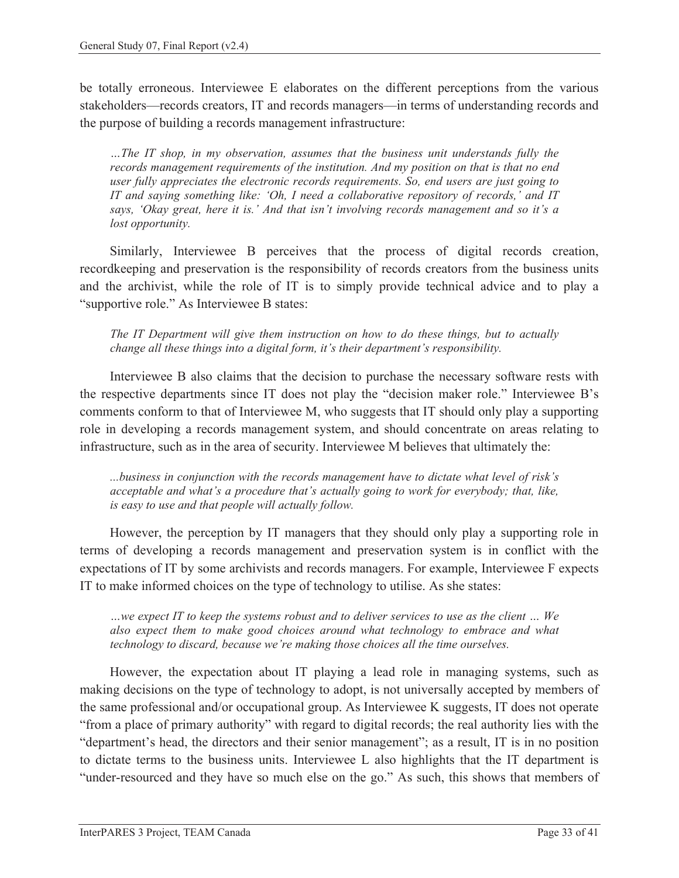be totally erroneous. Interviewee E elaborates on the different perceptions from the various stakeholders—records creators, IT and records managers—in terms of understanding records and the purpose of building a records management infrastructure:

*…The IT shop, in my observation, assumes that the business unit understands fully the records management requirements of the institution. And my position on that is that no end user fully appreciates the electronic records requirements. So, end users are just going to IT and saying something like: 'Oh, I need a collaborative repository of records,' and IT says, 'Okay great, here it is.' And that isn't involving records management and so it's a lost opportunity.* 

Similarly, Interviewee B perceives that the process of digital records creation, recordkeeping and preservation is the responsibility of records creators from the business units and the archivist, while the role of IT is to simply provide technical advice and to play a "supportive role." As Interviewee B states:

*The IT Department will give them instruction on how to do these things, but to actually change all these things into a digital form, it's their department's responsibility.* 

Interviewee B also claims that the decision to purchase the necessary software rests with the respective departments since IT does not play the "decision maker role." Interviewee B's comments conform to that of Interviewee M, who suggests that IT should only play a supporting role in developing a records management system, and should concentrate on areas relating to infrastructure, such as in the area of security. Interviewee M believes that ultimately the:

*...business in conjunction with the records management have to dictate what level of risk's acceptable and what's a procedure that's actually going to work for everybody; that, like, is easy to use and that people will actually follow.* 

However, the perception by IT managers that they should only play a supporting role in terms of developing a records management and preservation system is in conflict with the expectations of IT by some archivists and records managers. For example, Interviewee F expects IT to make informed choices on the type of technology to utilise. As she states:

*…we expect IT to keep the systems robust and to deliver services to use as the client … We also expect them to make good choices around what technology to embrace and what technology to discard, because we're making those choices all the time ourselves.* 

However, the expectation about IT playing a lead role in managing systems, such as making decisions on the type of technology to adopt, is not universally accepted by members of the same professional and/or occupational group. As Interviewee K suggests, IT does not operate "from a place of primary authority" with regard to digital records; the real authority lies with the "department's head, the directors and their senior management"; as a result, IT is in no position to dictate terms to the business units. Interviewee L also highlights that the IT department is "under-resourced and they have so much else on the go." As such, this shows that members of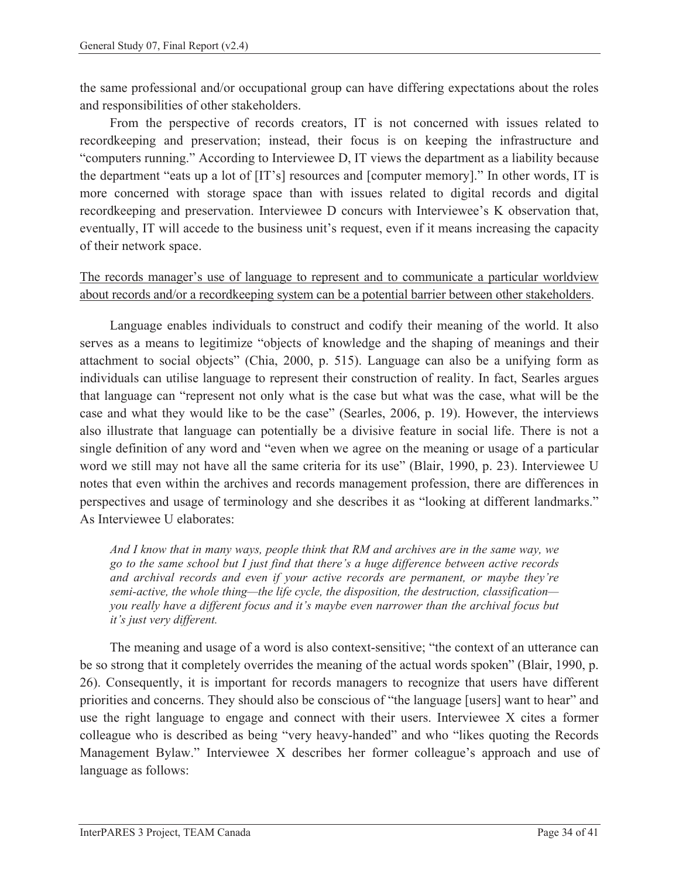the same professional and/or occupational group can have differing expectations about the roles and responsibilities of other stakeholders.

From the perspective of records creators, IT is not concerned with issues related to recordkeeping and preservation; instead, their focus is on keeping the infrastructure and "computers running." According to Interviewee D, IT views the department as a liability because the department "eats up a lot of [IT's] resources and [computer memory]." In other words, IT is more concerned with storage space than with issues related to digital records and digital recordkeeping and preservation. Interviewee D concurs with Interviewee's K observation that, eventually, IT will accede to the business unit's request, even if it means increasing the capacity of their network space.

The records manager's use of language to represent and to communicate a particular worldview about records and/or a recordkeeping system can be a potential barrier between other stakeholders.

Language enables individuals to construct and codify their meaning of the world. It also serves as a means to legitimize "objects of knowledge and the shaping of meanings and their attachment to social objects" (Chia, 2000, p. 515). Language can also be a unifying form as individuals can utilise language to represent their construction of reality. In fact, Searles argues that language can "represent not only what is the case but what was the case, what will be the case and what they would like to be the case" (Searles, 2006, p. 19). However, the interviews also illustrate that language can potentially be a divisive feature in social life. There is not a single definition of any word and "even when we agree on the meaning or usage of a particular word we still may not have all the same criteria for its use" (Blair, 1990, p. 23). Interviewee U notes that even within the archives and records management profession, there are differences in perspectives and usage of terminology and she describes it as "looking at different landmarks." As Interviewee U elaborates:

*And I know that in many ways, people think that RM and archives are in the same way, we go to the same school but I just find that there's a huge difference between active records and archival records and even if your active records are permanent, or maybe they're semi-active, the whole thing—the life cycle, the disposition, the destruction, classification you really have a different focus and it's maybe even narrower than the archival focus but it's just very different.* 

The meaning and usage of a word is also context-sensitive; "the context of an utterance can be so strong that it completely overrides the meaning of the actual words spoken" (Blair, 1990, p. 26). Consequently, it is important for records managers to recognize that users have different priorities and concerns. They should also be conscious of "the language [users] want to hear" and use the right language to engage and connect with their users. Interviewee X cites a former colleague who is described as being "very heavy-handed" and who "likes quoting the Records Management Bylaw." Interviewee X describes her former colleague's approach and use of language as follows: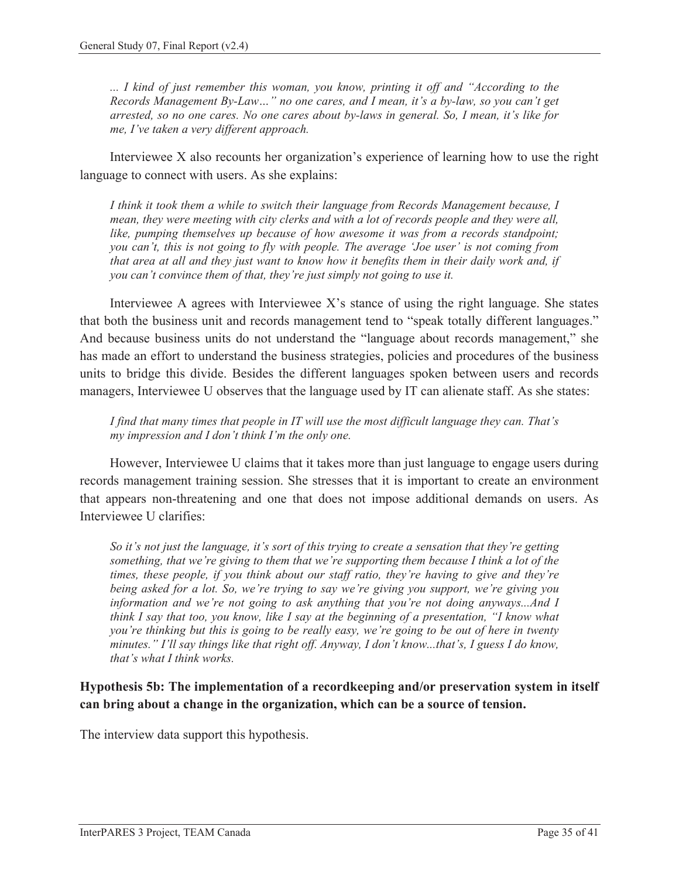*... I kind of just remember this woman, you know, printing it off and "According to the Records Management By-Law…" no one cares, and I mean, it's a by-law, so you can't get arrested, so no one cares. No one cares about by-laws in general. So, I mean, it's like for me, I've taken a very different approach.* 

Interviewee X also recounts her organization's experience of learning how to use the right language to connect with users. As she explains:

*I think it took them a while to switch their language from Records Management because, I mean, they were meeting with city clerks and with a lot of records people and they were all, like, pumping themselves up because of how awesome it was from a records standpoint; you can't, this is not going to fly with people. The average 'Joe user' is not coming from that area at all and they just want to know how it benefits them in their daily work and, if you can't convince them of that, they're just simply not going to use it.* 

Interviewee A agrees with Interviewee  $X$ 's stance of using the right language. She states that both the business unit and records management tend to "speak totally different languages." And because business units do not understand the "language about records management," she has made an effort to understand the business strategies, policies and procedures of the business units to bridge this divide. Besides the different languages spoken between users and records managers, Interviewee U observes that the language used by IT can alienate staff. As she states:

*I find that many times that people in IT will use the most difficult language they can. That's my impression and I don't think I'm the only one.* 

However, Interviewee U claims that it takes more than just language to engage users during records management training session. She stresses that it is important to create an environment that appears non-threatening and one that does not impose additional demands on users. As Interviewee U clarifies:

*So it's not just the language, it's sort of this trying to create a sensation that they're getting something, that we're giving to them that we're supporting them because I think a lot of the times, these people, if you think about our staff ratio, they're having to give and they're being asked for a lot. So, we're trying to say we're giving you support, we're giving you information and we're not going to ask anything that you're not doing anyways...And I think I say that too, you know, like I say at the beginning of a presentation, "I know what you're thinking but this is going to be really easy, we're going to be out of here in twenty minutes." I'll say things like that right off. Anyway, I don't know...that's, I guess I do know, that's what I think works.* 

#### **Hypothesis 5b: The implementation of a recordkeeping and/or preservation system in itself can bring about a change in the organization, which can be a source of tension.**

The interview data support this hypothesis.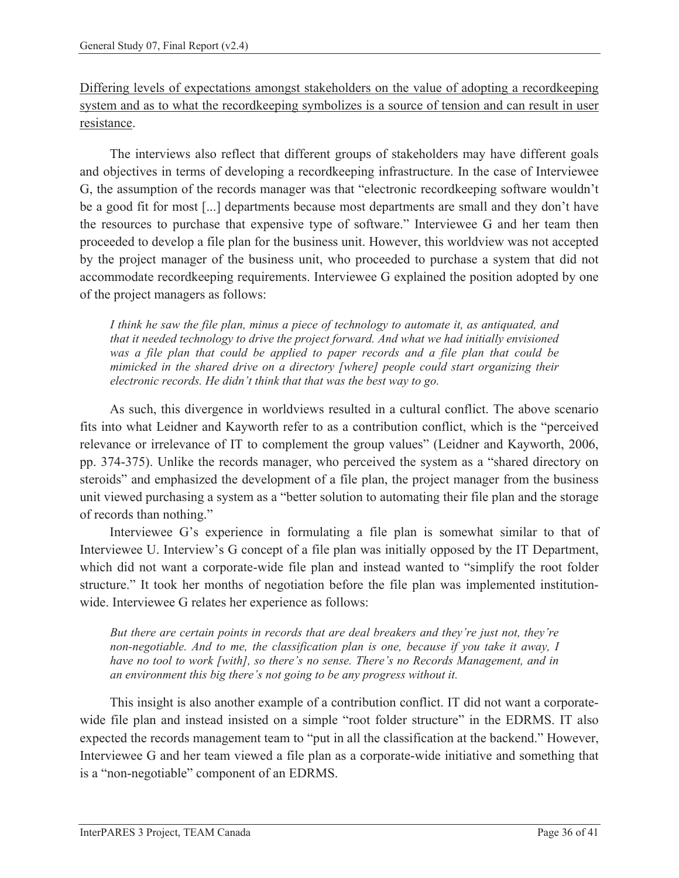Differing levels of expectations amongst stakeholders on the value of adopting a recordkeeping system and as to what the recordkeeping symbolizes is a source of tension and can result in user resistance.

The interviews also reflect that different groups of stakeholders may have different goals and objectives in terms of developing a recordkeeping infrastructure. In the case of Interviewee G, the assumption of the records manager was that "electronic recordkeeping software wouldn't be a good fit for most [...] departments because most departments are small and they don't have the resources to purchase that expensive type of software." Interviewee G and her team then proceeded to develop a file plan for the business unit. However, this worldview was not accepted by the project manager of the business unit, who proceeded to purchase a system that did not accommodate recordkeeping requirements. Interviewee G explained the position adopted by one of the project managers as follows:

*I think he saw the file plan, minus a piece of technology to automate it, as antiquated, and that it needed technology to drive the project forward. And what we had initially envisioned*  was a file plan that could be applied to paper records and a file plan that could be *mimicked in the shared drive on a directory [where] people could start organizing their electronic records. He didn't think that that was the best way to go.* 

As such, this divergence in worldviews resulted in a cultural conflict. The above scenario fits into what Leidner and Kayworth refer to as a contribution conflict, which is the "perceived relevance or irrelevance of IT to complement the group values" (Leidner and Kayworth, 2006, pp. 374-375). Unlike the records manager, who perceived the system as a "shared directory on steroids" and emphasized the development of a file plan, the project manager from the business unit viewed purchasing a system as a "better solution to automating their file plan and the storage of records than nothing."

Interviewee G's experience in formulating a file plan is somewhat similar to that of Interviewee U. Interview's G concept of a file plan was initially opposed by the IT Department, which did not want a corporate-wide file plan and instead wanted to "simplify the root folder structure." It took her months of negotiation before the file plan was implemented institutionwide. Interviewee G relates her experience as follows:

*But there are certain points in records that are deal breakers and they're just not, they're non-negotiable. And to me, the classification plan is one, because if you take it away, I have no tool to work [with], so there's no sense. There's no Records Management, and in an environment this big there's not going to be any progress without it.* 

This insight is also another example of a contribution conflict. IT did not want a corporatewide file plan and instead insisted on a simple "root folder structure" in the EDRMS. IT also expected the records management team to "put in all the classification at the backend." However, Interviewee G and her team viewed a file plan as a corporate-wide initiative and something that is a "non-negotiable" component of an EDRMS.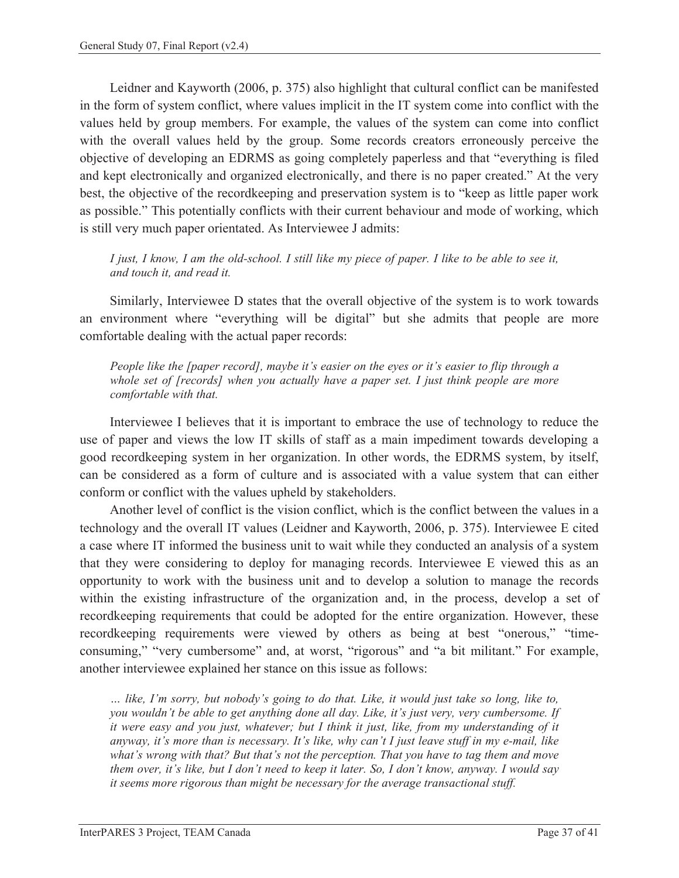Leidner and Kayworth (2006, p. 375) also highlight that cultural conflict can be manifested in the form of system conflict, where values implicit in the IT system come into conflict with the values held by group members. For example, the values of the system can come into conflict with the overall values held by the group. Some records creators erroneously perceive the objective of developing an EDRMS as going completely paperless and that "everything is filed and kept electronically and organized electronically, and there is no paper created." At the very best, the objective of the recordkeeping and preservation system is to "keep as little paper work as possible." This potentially conflicts with their current behaviour and mode of working, which is still very much paper orientated. As Interviewee J admits:

*I just, I know, I am the old-school. I still like my piece of paper. I like to be able to see it, and touch it, and read it.* 

Similarly, Interviewee D states that the overall objective of the system is to work towards an environment where "everything will be digital" but she admits that people are more comfortable dealing with the actual paper records:

*People like the [paper record], maybe it's easier on the eyes or it's easier to flip through a whole set of [records] when you actually have a paper set. I just think people are more comfortable with that.* 

Interviewee I believes that it is important to embrace the use of technology to reduce the use of paper and views the low IT skills of staff as a main impediment towards developing a good recordkeeping system in her organization. In other words, the EDRMS system, by itself, can be considered as a form of culture and is associated with a value system that can either conform or conflict with the values upheld by stakeholders.

Another level of conflict is the vision conflict, which is the conflict between the values in a technology and the overall IT values (Leidner and Kayworth, 2006, p. 375). Interviewee E cited a case where IT informed the business unit to wait while they conducted an analysis of a system that they were considering to deploy for managing records. Interviewee E viewed this as an opportunity to work with the business unit and to develop a solution to manage the records within the existing infrastructure of the organization and, in the process, develop a set of recordkeeping requirements that could be adopted for the entire organization. However, these recordkeeping requirements were viewed by others as being at best "onerous," "timeconsuming," "very cumbersome" and, at worst, "rigorous" and "a bit militant." For example, another interviewee explained her stance on this issue as follows:

*… like, I'm sorry, but nobody's going to do that. Like, it would just take so long, like to, you wouldn't be able to get anything done all day. Like, it's just very, very cumbersome. If it were easy and you just, whatever; but I think it just, like, from my understanding of it anyway, it's more than is necessary. It's like, why can't I just leave stuff in my e-mail, like what's wrong with that? But that's not the perception. That you have to tag them and move them over, it's like, but I don't need to keep it later. So, I don't know, anyway. I would say it seems more rigorous than might be necessary for the average transactional stuff.*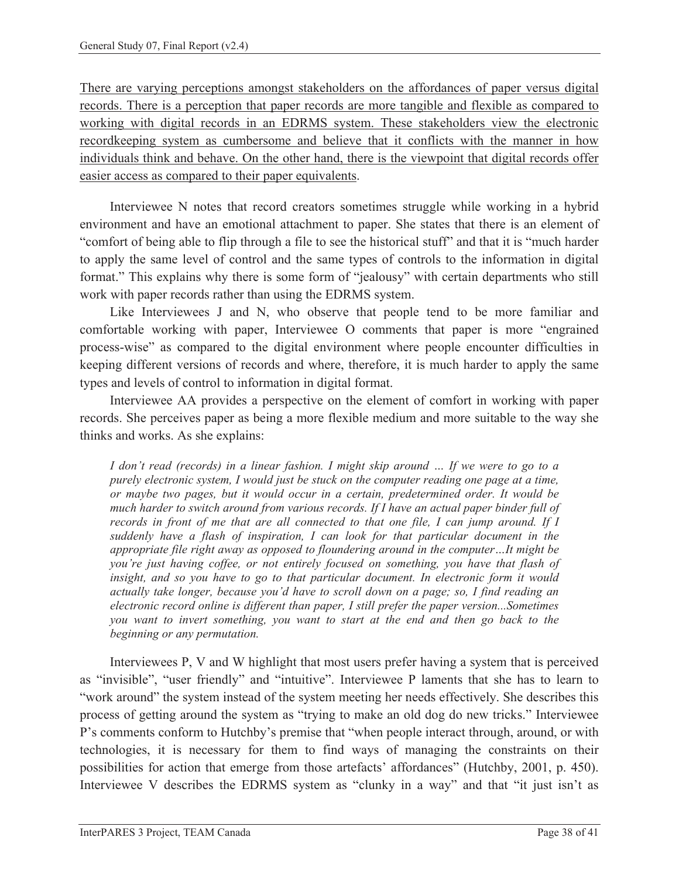There are varying perceptions amongst stakeholders on the affordances of paper versus digital records. There is a perception that paper records are more tangible and flexible as compared to working with digital records in an EDRMS system. These stakeholders view the electronic recordkeeping system as cumbersome and believe that it conflicts with the manner in how individuals think and behave. On the other hand, there is the viewpoint that digital records offer easier access as compared to their paper equivalents.

Interviewee N notes that record creators sometimes struggle while working in a hybrid environment and have an emotional attachment to paper. She states that there is an element of "comfort of being able to flip through a file to see the historical stuff" and that it is "much harder to apply the same level of control and the same types of controls to the information in digital format." This explains why there is some form of "jealousy" with certain departments who still work with paper records rather than using the EDRMS system.

Like Interviewees J and N, who observe that people tend to be more familiar and comfortable working with paper, Interviewee O comments that paper is more "engrained process-wise" as compared to the digital environment where people encounter difficulties in keeping different versions of records and where, therefore, it is much harder to apply the same types and levels of control to information in digital format.

Interviewee AA provides a perspective on the element of comfort in working with paper records. She perceives paper as being a more flexible medium and more suitable to the way she thinks and works. As she explains:

*I don't read (records) in a linear fashion. I might skip around … If we were to go to a purely electronic system, I would just be stuck on the computer reading one page at a time, or maybe two pages, but it would occur in a certain, predetermined order. It would be much harder to switch around from various records. If I have an actual paper binder full of records in front of me that are all connected to that one file, I can jump around. If I suddenly have a flash of inspiration, I can look for that particular document in the appropriate file right away as opposed to floundering around in the computer…It might be you're just having coffee, or not entirely focused on something, you have that flash of insight, and so you have to go to that particular document. In electronic form it would actually take longer, because you'd have to scroll down on a page; so, I find reading an electronic record online is different than paper, I still prefer the paper version...Sometimes you want to invert something, you want to start at the end and then go back to the beginning or any permutation.* 

Interviewees P, V and W highlight that most users prefer having a system that is perceived as "invisible", "user friendly" and "intuitive". Interviewee P laments that she has to learn to "work around" the system instead of the system meeting her needs effectively. She describes this process of getting around the system as "trying to make an old dog do new tricks." Interviewee P's comments conform to Hutchby's premise that "when people interact through, around, or with technologies, it is necessary for them to find ways of managing the constraints on their possibilities for action that emerge from those artefacts' affordances" (Hutchby, 2001, p. 450). Interviewee V describes the EDRMS system as "clunky in a way" and that "it just isn't as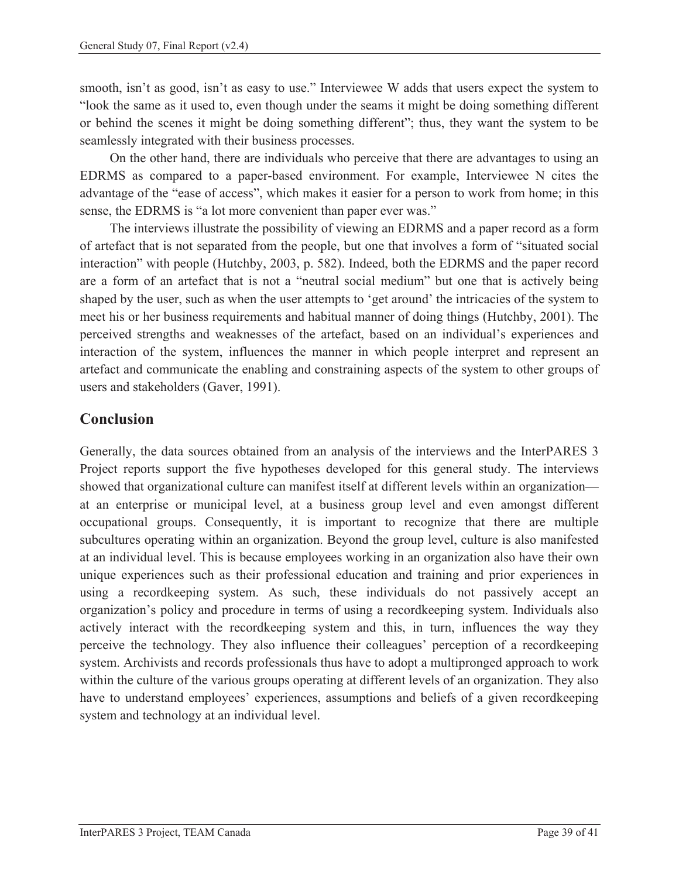smooth, isn't as good, isn't as easy to use." Interviewee W adds that users expect the system to "look the same as it used to, even though under the seams it might be doing something different or behind the scenes it might be doing something different"; thus, they want the system to be seamlessly integrated with their business processes.

On the other hand, there are individuals who perceive that there are advantages to using an EDRMS as compared to a paper-based environment. For example, Interviewee N cites the advantage of the "ease of access", which makes it easier for a person to work from home; in this sense, the EDRMS is "a lot more convenient than paper ever was."

The interviews illustrate the possibility of viewing an EDRMS and a paper record as a form of artefact that is not separated from the people, but one that involves a form of "situated social interaction" with people (Hutchby, 2003, p. 582). Indeed, both the EDRMS and the paper record are a form of an artefact that is not a "neutral social medium" but one that is actively being shaped by the user, such as when the user attempts to 'get around' the intricacies of the system to meet his or her business requirements and habitual manner of doing things (Hutchby, 2001). The perceived strengths and weaknesses of the artefact, based on an individual's experiences and interaction of the system, influences the manner in which people interpret and represent an artefact and communicate the enabling and constraining aspects of the system to other groups of users and stakeholders (Gaver, 1991).

## **Conclusion**

Generally, the data sources obtained from an analysis of the interviews and the InterPARES 3 Project reports support the five hypotheses developed for this general study. The interviews showed that organizational culture can manifest itself at different levels within an organization at an enterprise or municipal level, at a business group level and even amongst different occupational groups. Consequently, it is important to recognize that there are multiple subcultures operating within an organization. Beyond the group level, culture is also manifested at an individual level. This is because employees working in an organization also have their own unique experiences such as their professional education and training and prior experiences in using a recordkeeping system. As such, these individuals do not passively accept an organization's policy and procedure in terms of using a recordkeeping system. Individuals also actively interact with the recordkeeping system and this, in turn, influences the way they perceive the technology. They also influence their colleagues' perception of a recordkeeping system. Archivists and records professionals thus have to adopt a multipronged approach to work within the culture of the various groups operating at different levels of an organization. They also have to understand employees' experiences, assumptions and beliefs of a given recordkeeping system and technology at an individual level.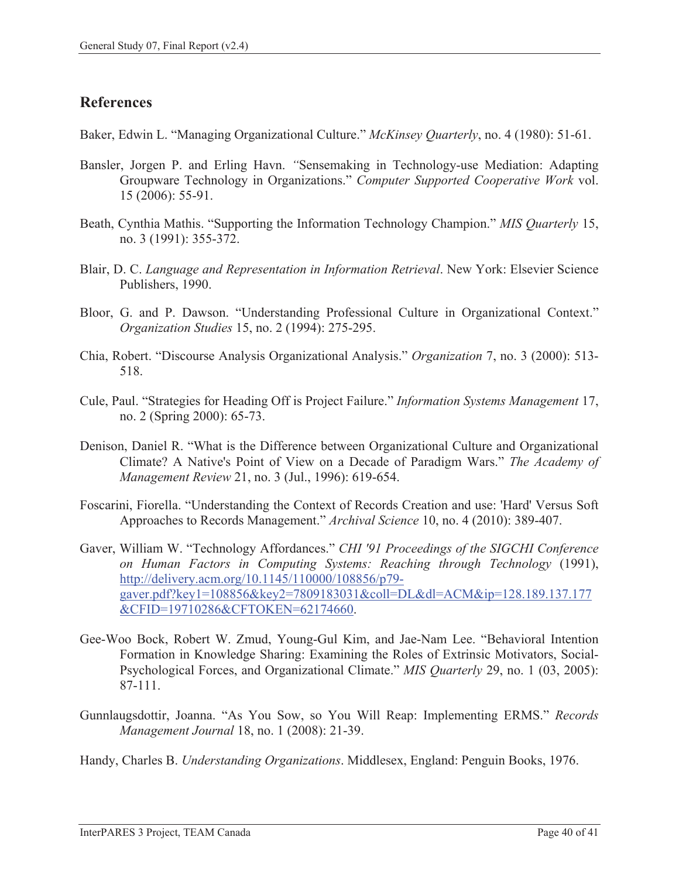## **References**

Baker, Edwin L. "Managing Organizational Culture." *McKinsey Quarterly*, no. 4 (1980): 51-61.

- Bansler, Jorgen P. and Erling Havn. *"*Sensemaking in Technology-use Mediation: Adapting Groupware Technology in Organizations." *Computer Supported Cooperative Work* vol. 15 (2006): 55-91.
- Beath, Cynthia Mathis. "Supporting the Information Technology Champion." *MIS Quarterly* 15, no. 3 (1991): 355-372.
- Blair, D. C. *Language and Representation in Information Retrieval*. New York: Elsevier Science Publishers, 1990.
- Bloor, G. and P. Dawson. "Understanding Professional Culture in Organizational Context." *Organization Studies* 15, no. 2 (1994): 275-295.
- Chia, Robert. "Discourse Analysis Organizational Analysis." *Organization* 7, no. 3 (2000): 513- 518.
- Cule, Paul. "Strategies for Heading Off is Project Failure." *Information Systems Management* 17, no. 2 (Spring 2000): 65-73.
- Denison, Daniel R. "What is the Difference between Organizational Culture and Organizational Climate? A Native's Point of View on a Decade of Paradigm Wars." *The Academy of Management Review* 21, no. 3 (Jul., 1996): 619-654.
- Foscarini, Fiorella. "Understanding the Context of Records Creation and use: 'Hard' Versus Soft Approaches to Records Management." *Archival Science* 10, no. 4 (2010): 389-407.
- Gaver, William W. "Technology Affordances." *CHI '91 Proceedings of the SIGCHI Conference on Human Factors in Computing Systems: Reaching through Technology* (1991), http://delivery.acm.org/10.1145/110000/108856/p79 gaver.pdf?key1=108856&key2=7809183031&coll=DL&dl=ACM&ip=128.189.137.177 &CFID=19710286&CFTOKEN=62174660.
- Gee-Woo Bock, Robert W. Zmud, Young-Gul Kim, and Jae-Nam Lee. "Behavioral Intention Formation in Knowledge Sharing: Examining the Roles of Extrinsic Motivators, Social-Psychological Forces, and Organizational Climate." *MIS Quarterly* 29, no. 1 (03, 2005): 87-111.
- Gunnlaugsdottir, Joanna. "As You Sow, so You Will Reap: Implementing ERMS." *Records Management Journal* 18, no. 1 (2008): 21-39.
- Handy, Charles B. *Understanding Organizations*. Middlesex, England: Penguin Books, 1976.